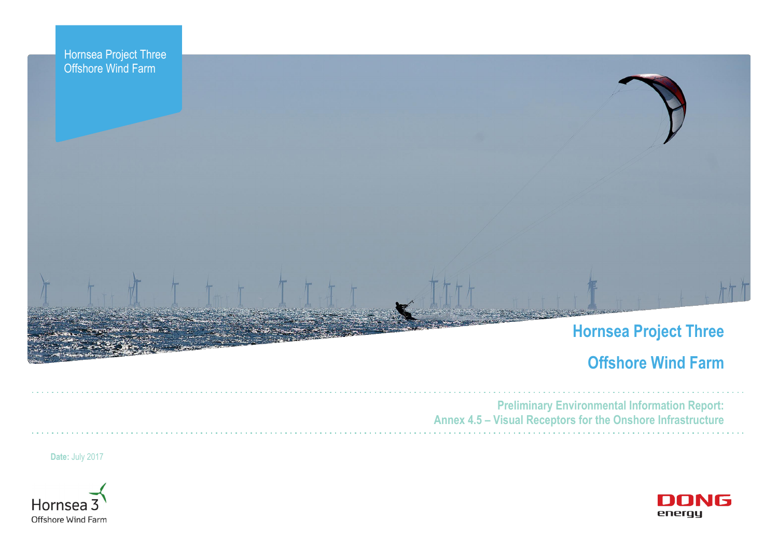



## **Hornsea Project Three**

## **Offshore Wind Farm**



**Preliminary Environmental Information Report: Annex 4.5 – Visual Receptors for the Onshore Infrastructure**

**Date:** July 2017



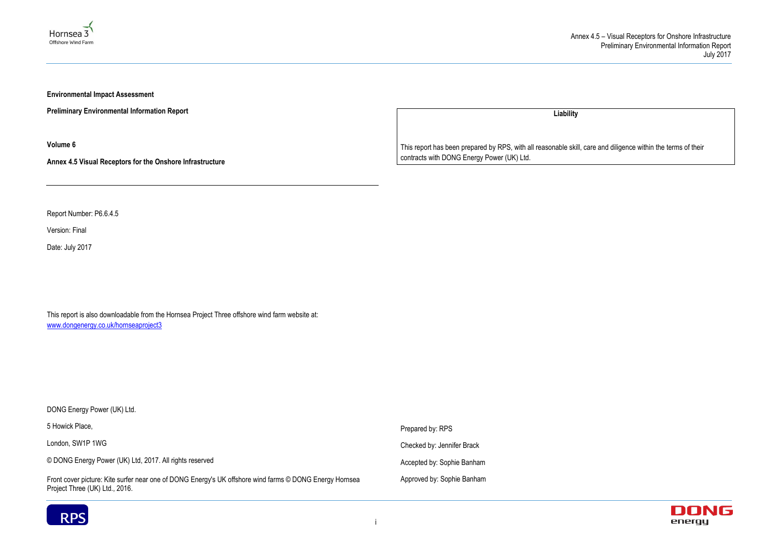



**Environmental Impact Assessment** 

**Preliminary Environmental Information Report**

**Volume 6**

**Annex 4.5 Visual Receptors for the Onshore Infrastructure**

Report Number: P6.6.4.5

Version: Final

Date: July 2017

This report is also downloadable from the Hornsea Project Three offshore wind farm website at: www.dongenergy.co.uk/hornseaproject3

DONG Energy Power (UK) Ltd. 5 Howick Place, London, SW1P 1WG © DONG Energy Power (UK) Ltd, 2017. All rights reserved Front cover picture: Kite surfer near one of DONG Energy's UK offshore wind farms © DONG Energy Hornsea Project Three (UK) Ltd., 2016. Prepared by: RPS Checked by: Jennifer Brack Accepted by: Sophie Banham Approved by: Sophie Banham



**Liability**

This report has been prepared by RPS, with all reasonable skill, care and diligence within the terms of their contracts with DONG Energy Power (UK) Ltd.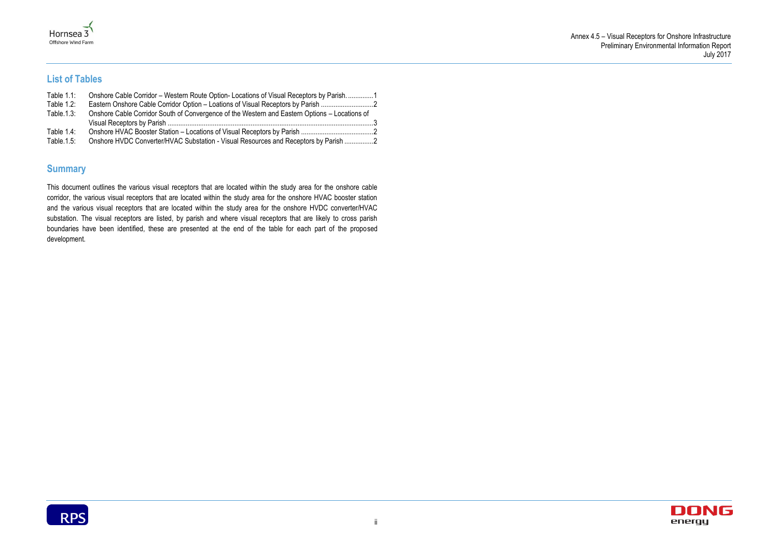



### **List of Tables**

| Table $1.1$ : | Onshore Cable Corridor – Western Route Option-Locations of Visual Receptors by Parish1        |  |
|---------------|-----------------------------------------------------------------------------------------------|--|
| Table $1.2$ : | Eastern Onshore Cable Corridor Option – Loations of Visual Receptors by Parish                |  |
| Table $1.3$ : | Onshore Cable Corridor South of Convergence of the Western and Eastern Options - Locations of |  |
| Table $1.4$ : |                                                                                               |  |
| Table $1.5$ : | Onshore HVDC Converter/HVAC Substation - Visual Resources and Receptors by Parish 2           |  |

### **Summary**

This document outlines the various visual receptors that are located within the study area for the onshore cable corridor, the various visual receptors that are located within the study area for the onshore HVAC booster station and the various visual receptors that are located within the study area for the onshore HVDC converter/HVAC substation. The visual receptors are listed, by parish and where visual receptors that are likely to cross parish boundaries have been identified, these are presented at the end of the table for each part of the proposed development.

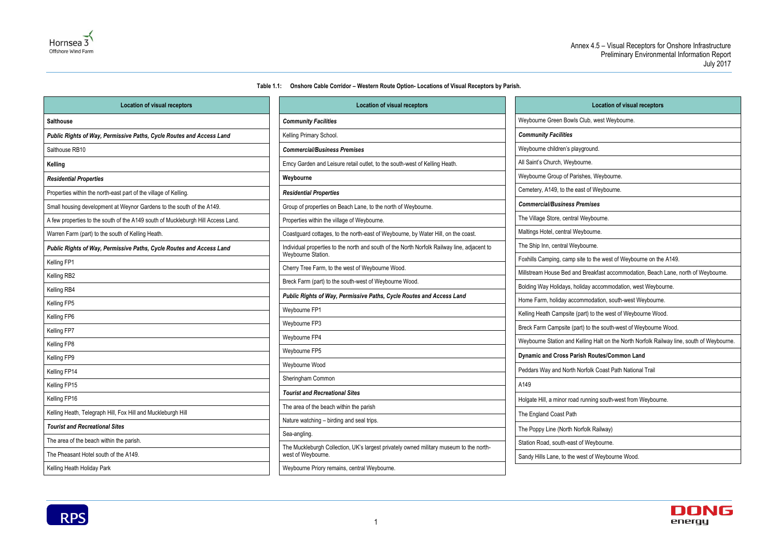**Table 1.1: Onshore Cable Corridor – Western Route Option- Locations of Visual Receptors by Parish.** 

### **Location of visual receptors** Glub, west Weybourne. iyground. ourne. rishes, Weybourne. ast of Weybourne. *Commercial/Business Premises* I Weybourne. 'eybourne. ybourne. site to the west of Weybourne on the A149. nd Breakfast accommodation, Beach Lane, north of Weybourne. bliday accommodation, west Weybourne. bommodation, south-west Weybourne. part) to the west of Weybourne Wood. art) to the south-west of Weybourne Wood. Kelling Halt on the North Norfolk Railway line, south of Weybourne. **rish Routes/Common Land** Norfolk Coast Path National Trail I running south-west from Weybourne. orfolk Railway) t of Weybourne. west of Weybourne Wood.



<span id="page-3-0"></span>

| <b>Location of visual receptors</b>                                              | <b>Location of visual receptors</b>                                                         |                              |
|----------------------------------------------------------------------------------|---------------------------------------------------------------------------------------------|------------------------------|
| <b>Salthouse</b>                                                                 | <b>Community Facilities</b>                                                                 | Weybourne Green Bowls        |
| Public Rights of Way, Permissive Paths, Cycle Routes and Access Land             | Kelling Primary School.                                                                     | <b>Community Facilities</b>  |
| Salthouse RB10                                                                   | <b>Commercial/Business Premises</b>                                                         | Weybourne children's pla     |
| Kelling                                                                          | Emcy Garden and Leisure retail outlet, to the south-west of Kelling Heath.                  | All Saint's Church, Weybo    |
| <b>Residential Properties</b>                                                    | Weybourne                                                                                   | Weybourne Group of Pari      |
| Properties within the north-east part of the village of Kelling.                 | <b>Residential Properties</b>                                                               | Cemetery, A149, to the ea    |
| Small housing development at Weynor Gardens to the south of the A149.            | Group of properties on Beach Lane, to the north of Weybourne.                               | <b>Commercial/Business P</b> |
| A few properties to the south of the A149 south of Muckleburgh Hill Access Land. | Properties within the village of Weybourne.                                                 | The Village Store, central   |
| Warren Farm (part) to the south of Kelling Heath.                                | Coastguard cottages, to the north-east of Weybourne, by Water Hill, on the coast.           | Maltings Hotel, central We   |
| Public Rights of Way, Permissive Paths, Cycle Routes and Access Land             | Individual properties to the north and south of the North Norfolk Railway line, adjacent to | The Ship Inn, central Wey    |
| Kelling FP1                                                                      | Weybourne Station.                                                                          | Foxhills Camping, camp s     |
| Kelling RB2                                                                      | Cherry Tree Farm, to the west of Weybourne Wood.                                            | Millstream House Bed and     |
| Kelling RB4                                                                      | Breck Farm (part) to the south-west of Weybourne Wood.                                      | Bolding Way Holidays, ho     |
| Kelling FP5                                                                      | Public Rights of Way, Permissive Paths, Cycle Routes and Access Land                        | Home Farm, holiday acco      |
| Kelling FP6                                                                      | Weybourne FP1                                                                               | Kelling Heath Campsite (p    |
| Kelling FP7                                                                      | Weybourne FP3                                                                               | Breck Farm Campsite (pa      |
| Kelling FP8                                                                      | Weybourne FP4                                                                               | Weybourne Station and K      |
| Kelling FP9                                                                      | Weybourne FP5                                                                               | <b>Dynamic and Cross Par</b> |
| Kelling FP14                                                                     | Weybourne Wood                                                                              | Peddars Way and North N      |
| Kelling FP15                                                                     | Sheringham Common                                                                           | A149                         |
|                                                                                  | <b>Tourist and Recreational Sites</b>                                                       |                              |
| Kelling FP16                                                                     | The area of the beach within the parish                                                     | Holgate Hill, a minor road   |
| Kelling Heath, Telegraph Hill, Fox Hill and Muckleburgh Hill                     | Nature watching - birding and seal trips.                                                   | The England Coast Path       |
| <b>Tourist and Recreational Sites</b>                                            | Sea-angling.                                                                                | The Poppy Line (North No     |
| The area of the beach within the parish.                                         | The Muckleburgh Collection, UK's largest privately owned military museum to the north-      | Station Road, south-east     |
| The Pheasant Hotel south of the A149.                                            | west of Weybourne.                                                                          | Sandy Hills Lane, to the w   |
| Kelling Heath Holiday Park                                                       | Weybourne Priory remains, central Weybourne.                                                |                              |

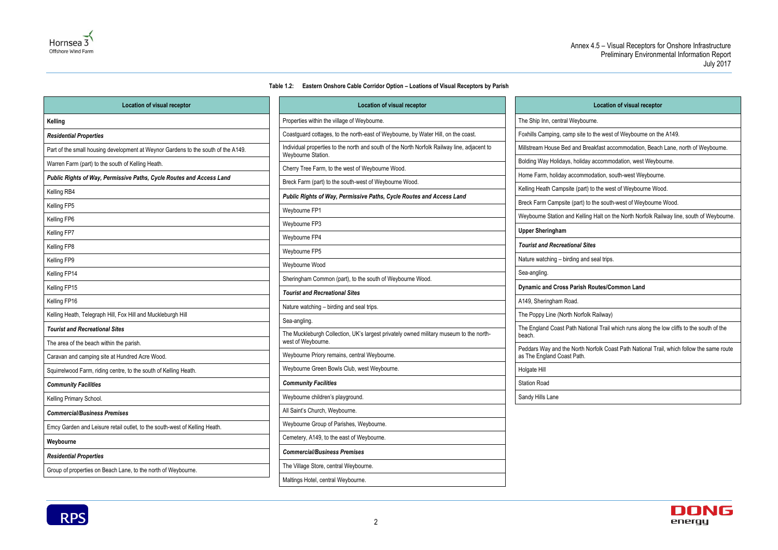#### **Table 1.2: Eastern Onshore Cable Corridor Option – Loations of Visual Receptors by Parish**

<span id="page-4-0"></span>

| <b>Location of visual receptor</b>                                                | <b>Location of visual receptor</b>                                                                                |                                                         |
|-----------------------------------------------------------------------------------|-------------------------------------------------------------------------------------------------------------------|---------------------------------------------------------|
| Kelling                                                                           | Properties within the village of Weybourne.                                                                       | The Ship Inn, central Weybo                             |
| <b>Residential Properties</b>                                                     | Coastguard cottages, to the north-east of Weybourne, by Water Hill, on the coast.                                 | Foxhills Camping, camp site                             |
| Part of the small housing development at Weynor Gardens to the south of the A149. | Individual properties to the north and south of the North Norfolk Railway line, adjacent to<br>Weybourne Station. | Millstream House Bed and B                              |
| Warren Farm (part) to the south of Kelling Heath.                                 | Cherry Tree Farm, to the west of Weybourne Wood.                                                                  | Bolding Way Holidays, holida                            |
| Public Rights of Way, Permissive Paths, Cycle Routes and Access Land              | Breck Farm (part) to the south-west of Weybourne Wood.                                                            | Home Farm, holiday accomn                               |
| Kelling RB4                                                                       | Public Rights of Way, Permissive Paths, Cycle Routes and Access Land                                              | Kelling Heath Campsite (part                            |
| Kelling FP5                                                                       |                                                                                                                   | Breck Farm Campsite (part)                              |
| Kelling FP6                                                                       | Weybourne FP1                                                                                                     | Weybourne Station and Kelli                             |
| Kelling FP7                                                                       | Weybourne FP3                                                                                                     | <b>Upper Sheringham</b>                                 |
| Kelling FP8                                                                       | Weybourne FP4                                                                                                     | <b>Tourist and Recreational S</b>                       |
| Kelling FP9                                                                       | Weybourne FP5                                                                                                     | Nature watching - birding an                            |
| Kelling FP14                                                                      | Weybourne Wood                                                                                                    | Sea-angling.                                            |
| Kelling FP15                                                                      | Sheringham Common (part), to the south of Weybourne Wood.                                                         | <b>Dynamic and Cross Parish</b>                         |
| Kelling FP16                                                                      | <b>Tourist and Recreational Sites</b>                                                                             | A149, Sheringham Road.                                  |
| Kelling Heath, Telegraph Hill, Fox Hill and Muckleburgh Hill                      | Nature watching - birding and seal trips.                                                                         | The Poppy Line (North Norfo                             |
| <b>Tourist and Recreational Sites</b>                                             | Sea-angling.                                                                                                      | The England Coast Path Nat                              |
| The area of the beach within the parish.                                          | The Muckleburgh Collection, UK's largest privately owned military museum to the north-<br>west of Weybourne.      | beach.                                                  |
| Caravan and camping site at Hundred Acre Wood.                                    | Weybourne Priory remains, central Weybourne.                                                                      | Peddars Way and the North<br>as The England Coast Path. |
| Squirrelwood Farm, riding centre, to the south of Kelling Heath.                  | Weybourne Green Bowls Club, west Weybourne.                                                                       | Holgate Hill                                            |
| <b>Community Facilities</b>                                                       | <b>Community Facilities</b>                                                                                       | <b>Station Road</b>                                     |
| Kelling Primary School.                                                           | Weybourne children's playground.                                                                                  | Sandy Hills Lane                                        |
| <b>Commercial/Business Premises</b>                                               | All Saint's Church, Weybourne.                                                                                    |                                                         |
| Emcy Garden and Leisure retail outlet, to the south-west of Kelling Heath.        | Weybourne Group of Parishes, Weybourne.                                                                           |                                                         |
| Weybourne                                                                         | Cemetery, A149, to the east of Weybourne.                                                                         |                                                         |
| <b>Residential Properties</b>                                                     | <b>Commercial/Business Premises</b>                                                                               |                                                         |
| Group of properties on Beach Lane, to the north of Weybourne.                     | The Village Store, central Weybourne.                                                                             |                                                         |
|                                                                                   | Maltings Hotel, central Weybourne.                                                                                |                                                         |



#### **Location of visual receptor**

al Weybourne.

camp site to the west of Weybourne on the A149.

led and Breakfast accommodation, Beach Lane, north of Weybourne.

ays, holiday accommodation, west Weybourne.

y accommodation, south-west Weybourne.

psite (part) to the west of Weybourne Wood.

ite (part) to the south-west of Weybourne Wood.

and Kelling Halt on the North Norfolk Railway line, south of Weybourne.

#### *Tourist and Recreational Sites*

birding and seal trips.

#### **SS Parish Routes/Common Land**

orth Norfolk Railway)

Path National Trail which runs along the low cliffs to the south of the

he North Norfolk Coast Path National Trail, which follow the same route

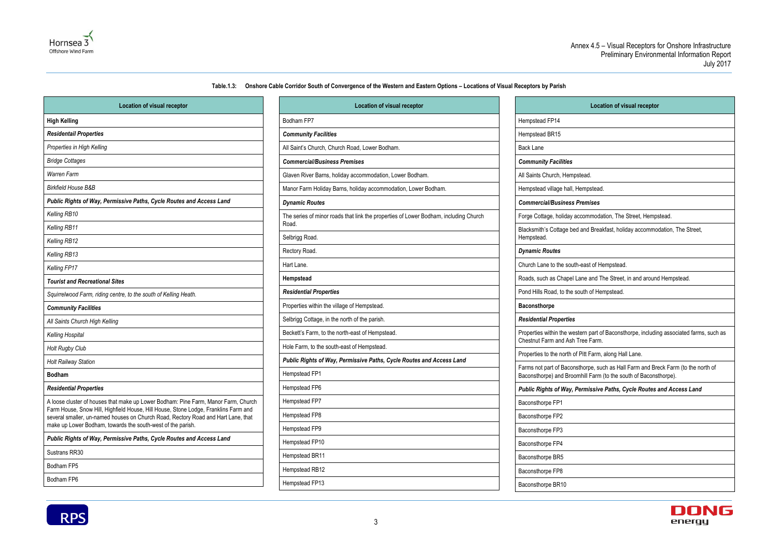3

#### **Table.1.3: Onshore Cable Corridor South of Convergence of the Western and Eastern Options – Locations of Visual Receptors by Parish**

<span id="page-5-0"></span>

| <b>Location of visual receptor</b>                                                                                                                                       |                 |
|--------------------------------------------------------------------------------------------------------------------------------------------------------------------------|-----------------|
| <b>High Kelling</b>                                                                                                                                                      | Bodham          |
| <b>Residentail Properties</b>                                                                                                                                            | <b>Commu</b>    |
| Properties in High Kelling                                                                                                                                               | All Saint'      |
| <b>Bridge Cottages</b>                                                                                                                                                   | Comme           |
| <b>Warren Farm</b>                                                                                                                                                       | Glaven F        |
| <b>Birkfield House B&amp;B</b>                                                                                                                                           | Manor F         |
| Public Rights of Way, Permissive Paths, Cycle Routes and Access Land                                                                                                     | <b>Dynami</b>   |
| Kelling RB10                                                                                                                                                             | The serie       |
| Kelling RB11                                                                                                                                                             | Road.           |
| Kelling RB12                                                                                                                                                             | Selbrigg        |
| Kelling RB13                                                                                                                                                             | Rectory         |
| Kelling FP17                                                                                                                                                             | Hart Lan        |
| <b>Tourist and Recreational Sites</b>                                                                                                                                    | <b>Hempst</b>   |
| Squirrelwood Farm, riding centre, to the south of Kelling Heath.                                                                                                         | Residen         |
| <b>Community Facilities</b>                                                                                                                                              | Propertie       |
| All Saints Church High Kelling                                                                                                                                           | Selbrigg        |
| <b>Kelling Hospital</b>                                                                                                                                                  | Beckett's       |
| <b>Holt Rugby Club</b>                                                                                                                                                   | Hole Far        |
| <b>Holt Railway Station</b>                                                                                                                                              | <b>Public R</b> |
| <b>Bodham</b>                                                                                                                                                            | Hempste         |
| <b>Residential Properties</b>                                                                                                                                            | Hempste         |
| A loose cluster of houses that make up Lower Bodham: Pine Farm, Manor Farm, Church                                                                                       | Hempste         |
| Farm House, Snow Hill, Highfield House, Hill House, Stone Lodge, Franklins Farm and<br>several smaller, un-named houses on Church Road, Rectory Road and Hart Lane, that | Hempste         |
| make up Lower Bodham, towards the south-west of the parish.                                                                                                              | Hempste         |
| Public Rights of Way, Permissive Paths, Cycle Routes and Access Land                                                                                                     | Hempste         |
| Sustrans RR30                                                                                                                                                            | Hempste         |
| Bodham FP5                                                                                                                                                               | Hempste         |
| Bodham FP6                                                                                                                                                               | Hempste         |
|                                                                                                                                                                          |                 |

| <b>Location of visual receptor</b>                                                            |                                                      |
|-----------------------------------------------------------------------------------------------|------------------------------------------------------|
| Bodham FP7                                                                                    | Hempstead FP14                                       |
| <b>Community Facilities</b>                                                                   | Hempstead BR15                                       |
| All Saint's Church, Church Road, Lower Bodham.                                                | <b>Back Lane</b>                                     |
| <b>Commercial/Business Premises</b>                                                           | <b>Community Facilities</b>                          |
| Glaven River Barns, holiday accommodation, Lower Bodham.                                      | All Saints Church, Hemps                             |
| Manor Farm Holiday Barns, holiday accommodation, Lower Bodham.                                | Hempstead village hall, H                            |
| <b>Dynamic Routes</b>                                                                         | <b>Commercial/Business P</b>                         |
| The series of minor roads that link the properties of Lower Bodham, including Church<br>Road. | Forge Cottage, holiday ac                            |
| Selbrigg Road.                                                                                | Blacksmith's Cottage bed<br>Hempstead.               |
| Rectory Road.                                                                                 | <b>Dynamic Routes</b>                                |
| Hart Lane.                                                                                    | Church Lane to the south-                            |
| Hempstead                                                                                     | Roads, such as Chapel La                             |
| <b>Residential Properties</b>                                                                 | Pond Hills Road, to the so                           |
| Properties within the village of Hempstead.                                                   | <b>Baconsthorpe</b>                                  |
| Selbrigg Cottage, in the north of the parish.                                                 | <b>Residential Properties</b>                        |
| Beckett's Farm, to the north-east of Hempstead.                                               | Properties within the west                           |
| Hole Farm, to the south-east of Hempstead.                                                    | Chestnut Farm and Ash T                              |
| Public Rights of Way, Permissive Paths, Cycle Routes and Access Land                          | Properties to the north of                           |
| Hempstead FP1                                                                                 | Farms not part of Baconst<br>Baconsthorpe) and Broom |
| Hempstead FP6                                                                                 | Public Rights of Way, Po                             |
| Hempstead FP7                                                                                 | Baconsthorpe FP1                                     |
| Hempstead FP8                                                                                 | Baconsthorpe FP2                                     |
| Hempstead FP9                                                                                 | Baconsthorpe FP3                                     |
| Hempstead FP10                                                                                | Baconsthorpe FP4                                     |
| Hempstead BR11                                                                                | Baconsthorpe BR5                                     |
| Hempstead RB12                                                                                | Baconsthorpe FP8                                     |
| Hempstead FP13                                                                                | Baconsthorpe BR10                                    |



# **Location of visual receptor** stead. Hempstead. *Commercial/Business Premises* ccommodation, The Street, Hempstead. I and Breakfast, holiday accommodation, The Street, -east of Hempstead. ane and The Street, in and around Hempstead. puth of Hempstead. tern part of Baconsthorpe, including associated farms, such as Tree Farm. Pitt Farm, along Hall Lane. thorpe, such as Hall Farm and Breck Farm (to the north of mhill Farm (to the south of Baconsthorpe). *Public Rights of Way, Permissive Paths, Cycle Routes and Access Land*

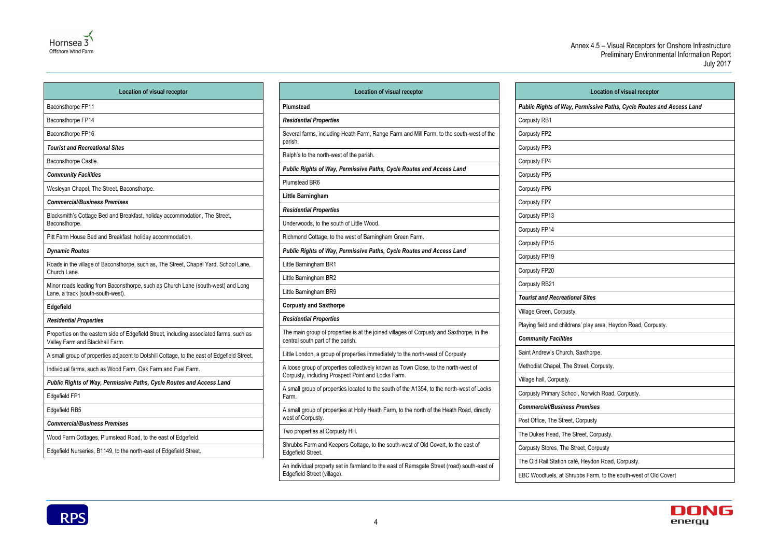4

| <b>Location of visual receptor</b>                                   |
|----------------------------------------------------------------------|
| Public Rights of Way, Permissive Paths, Cycle Routes and Access Land |
| Corpusty RB1                                                         |
| Corpusty FP2                                                         |
| Corpusty FP3                                                         |
| Corpusty FP4                                                         |
| Corpusty FP5                                                         |
| Corpusty FP6                                                         |
| Corpusty FP7                                                         |
| Corpusty FP13                                                        |
| Corpusty FP14                                                        |
| Corpusty FP15                                                        |
| Corpusty FP19                                                        |
| Corpusty FP20                                                        |
| Corpusty RB21                                                        |
| <b>Tourist and Recreational Sites</b>                                |
| Village Green, Corpusty.                                             |
| Playing field and childrens' play area, Heydon Road, Corpusty.       |
| <b>Community Facilities</b>                                          |
| Saint Andrew's Church, Saxthorpe.                                    |
| Methodist Chapel, The Street, Corpusty.                              |
| Village hall, Corpusty.                                              |
| Corpusty Primary School, Norwich Road, Corpusty.                     |
| <b>Commercial/Business Premises</b>                                  |
| Post Office, The Street, Corpusty                                    |
| The Dukes Head, The Street, Corpusty.                                |
| Corpusty Stores, The Street, Corpusty                                |
| The Old Rail Station café, Heydon Road, Corpusty.                    |
| EBC Woodfuels, at Shrubbs Farm, to the south-west of Old Covert      |





| <b>Location of visual receptor</b>                                                                                         | Lo                                                                     |
|----------------------------------------------------------------------------------------------------------------------------|------------------------------------------------------------------------|
| Baconsthorpe FP11                                                                                                          | <b>Plumstead</b>                                                       |
| Baconsthorpe FP14                                                                                                          | <b>Residential Properties</b>                                          |
| Baconsthorpe FP16                                                                                                          | Several farms, including Heath F                                       |
| <b>Tourist and Recreational Sites</b>                                                                                      | parish.                                                                |
| Baconsthorpe Castle.                                                                                                       | Ralph's to the north-west of the p                                     |
| <b>Community Facilities</b>                                                                                                | <b>Public Rights of Way, Permissi</b>                                  |
| Wesleyan Chapel, The Street, Baconsthorpe.                                                                                 | Plumstead BR6                                                          |
| <b>Commercial/Business Premises</b>                                                                                        | <b>Little Barningham</b>                                               |
| Blacksmith's Cottage Bed and Breakfast, holiday accommodation, The Street,                                                 | <b>Residential Properties</b>                                          |
| Baconsthorpe.                                                                                                              | Underwoods, to the south of Little                                     |
| Pitt Farm House Bed and Breakfast, holiday accommodation.                                                                  | Richmond Cottage, to the west of                                       |
| <b>Dynamic Routes</b>                                                                                                      | <b>Public Rights of Way, Permissi</b>                                  |
| Roads in the village of Baconsthorpe, such as, The Street, Chapel Yard, School Lane,<br>Church Lane.                       | Little Barningham BR1                                                  |
|                                                                                                                            | Little Barningham BR2                                                  |
| Minor roads leading from Baconsthorpe, such as Church Lane (south-west) and Long<br>Lane, a track (south-south-west).      | Little Barningham BR9                                                  |
| Edgefield                                                                                                                  | <b>Corpusty and Saxthorpe</b>                                          |
| <b>Residential Properties</b>                                                                                              | <b>Residential Properties</b>                                          |
| Properties on the eastern side of Edgefield Street, including associated farms, such as<br>Valley Farm and Blackhall Farm. | The main group of properties is a<br>central south part of the parish. |
| A small group of properties adjacent to Dotshill Cottage, to the east of Edgefield Street.                                 | Little London, a group of properti                                     |
| Individual farms, such as Wood Farm, Oak Farm and Fuel Farm.                                                               | A loose group of properties colled                                     |
| Public Rights of Way, Permissive Paths, Cycle Routes and Access Land                                                       | Corpusty, including Prospect Poi                                       |
| Edgefield FP1                                                                                                              | A small group of properties locate<br>Farm.                            |
| Edgefield RB5                                                                                                              | A small group of properties at Ho<br>west of Corpusty.                 |
| <b>Commercial/Business Premises</b>                                                                                        | Two properties at Corpusty Hill.                                       |
| Wood Farm Cottages, Plumstead Road, to the east of Edgefield.                                                              |                                                                        |
| Edgefield Nurseries, B1149, to the north-east of Edgefield Street.                                                         | Shrubbs Farm and Keepers Cotta<br>Edgefield Street.                    |
|                                                                                                                            | An individual property set in farm<br>Edgefield Street (village).      |

| <b>Location of visual receptor</b>                                                                                                       |
|------------------------------------------------------------------------------------------------------------------------------------------|
| Plumstead                                                                                                                                |
| <b>Residential Properties</b>                                                                                                            |
| Several farms, including Heath Farm, Range Farm and Mill Farm, to the south-west of the<br>parish.                                       |
| Ralph's to the north-west of the parish.                                                                                                 |
| Public Rights of Way, Permissive Paths, Cycle Routes and Access Land                                                                     |
| Plumstead BR6                                                                                                                            |
| Little Barningham                                                                                                                        |
| <b>Residential Properties</b>                                                                                                            |
| Underwoods, to the south of Little Wood.                                                                                                 |
| Richmond Cottage, to the west of Barningham Green Farm.                                                                                  |
| Public Rights of Way, Permissive Paths, Cycle Routes and Access Land                                                                     |
| Little Barningham BR1                                                                                                                    |
| Little Barningham BR2                                                                                                                    |
| Little Barningham BR9                                                                                                                    |
| <b>Corpusty and Saxthorpe</b>                                                                                                            |
| <b>Residential Properties</b>                                                                                                            |
| The main group of properties is at the joined villages of Corpusty and Saxthorpe, in the<br>central south part of the parish.            |
| Little London, a group of properties immediately to the north-west of Corpusty                                                           |
| A loose group of properties collectively known as Town Close, to the north-west of<br>Corpusty, including Prospect Point and Locks Farm. |
| A small group of properties located to the south of the A1354, to the north-west of Locks<br>Farm.                                       |
| A small group of properties at Holly Heath Farm, to the north of the Heath Road, directly<br>west of Corpusty.                           |
| Two properties at Corpusty Hill.                                                                                                         |
| Shrubbs Farm and Keepers Cottage, to the south-west of Old Covert, to the east of<br>Edgefield Street.                                   |
| An individual property set in farmland to the east of Ramsgate Street (road) south-east of                                               |

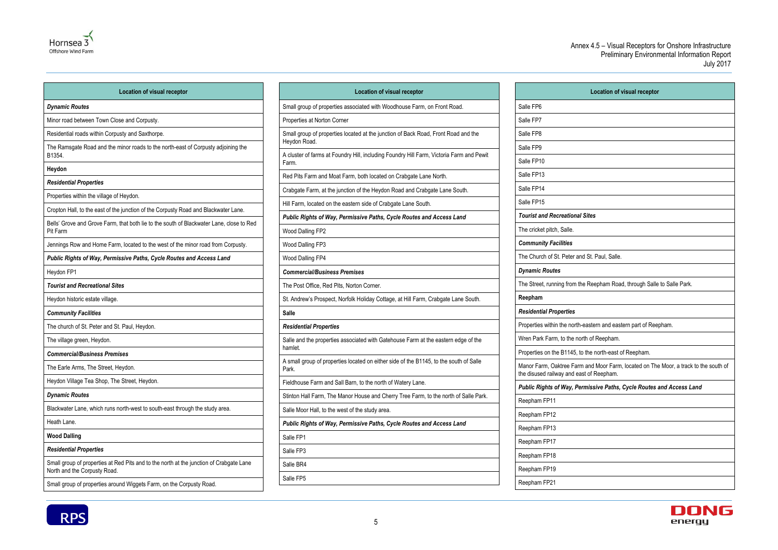

| <b>Location of visual receptor</b>                                                                                      | Lc                                                       |
|-------------------------------------------------------------------------------------------------------------------------|----------------------------------------------------------|
| <b>Dynamic Routes</b>                                                                                                   | Small group of properties associa                        |
| Minor road between Town Close and Corpusty.                                                                             | Properties at Norton Corner                              |
| Residential roads within Corpusty and Saxthorpe.                                                                        | Small group of properties located<br>Heydon Road.        |
| The Ramsgate Road and the minor roads to the north-east of Corpusty adjoining the<br>B1354.                             | A cluster of farms at Foundry Hill<br>Farm.              |
| Heydon                                                                                                                  | Red Pits Farm and Moat Farm, b                           |
| <b>Residential Properties</b>                                                                                           |                                                          |
| Properties within the village of Heydon.                                                                                | Crabgate Farm, at the junction of                        |
| Cropton Hall, to the east of the junction of the Corpusty Road and Blackwater Lane.                                     | Hill Farm, located on the eastern                        |
| Bells' Grove and Grove Farm, that both lie to the south of Blackwater Lane, close to Red<br>Pit Farm                    | <b>Public Rights of Way, Permiss</b><br>Wood Dalling FP2 |
| Jennings Row and Home Farm, located to the west of the minor road from Corpusty.                                        | Wood Dalling FP3                                         |
| Public Rights of Way, Permissive Paths, Cycle Routes and Access Land                                                    | Wood Dalling FP4                                         |
| Heydon FP1                                                                                                              | <b>Commercial/Business Premise</b>                       |
| <b>Tourist and Recreational Sites</b>                                                                                   | The Post Office, Red Pits, Nortor                        |
| Heydon historic estate village.                                                                                         | St. Andrew's Prospect, Norfolk H                         |
| <b>Community Facilities</b>                                                                                             | <b>Salle</b>                                             |
| The church of St. Peter and St. Paul, Heydon.                                                                           | <b>Residential Properties</b>                            |
| The village green, Heydon.                                                                                              | Salle and the properties associat                        |
| <b>Commercial/Business Premises</b>                                                                                     | hamlet.                                                  |
| The Earle Arms, The Street, Heydon.                                                                                     | A small group of properties locate<br>Park.              |
| Heydon Village Tea Shop, The Street, Heydon.                                                                            | Fieldhouse Farm and Sall Barn, t                         |
| <b>Dynamic Routes</b>                                                                                                   | Stinton Hall Farm, The Manor Ho                          |
| Blackwater Lane, which runs north-west to south-east through the study area.                                            | Salle Moor Hall, to the west of the                      |
| Heath Lane.                                                                                                             | <b>Public Rights of Way, Permiss</b>                     |
| <b>Wood Dalling</b>                                                                                                     | Salle FP1                                                |
| <b>Residential Properties</b>                                                                                           | Salle FP3                                                |
| Small group of properties at Red Pits and to the north at the junction of Crabgate Lane<br>North and the Corpusty Road. | Salle BR4                                                |
| Small group of properties around Wiggets Farm, on the Corpusty Road.                                                    | Salle FP5                                                |

| <b>Location of visual receptor</b>                                                                 |
|----------------------------------------------------------------------------------------------------|
| Small group of properties associated with Woodhouse Farm, on Front Road.                           |
| Properties at Norton Corner                                                                        |
| Small group of properties located at the junction of Back Road, Front Road and the<br>Heydon Road. |
| A cluster of farms at Foundry Hill, including Foundry Hill Farm, Victoria Farm and Pewit<br>Farm.  |
| Red Pits Farm and Moat Farm, both located on Crabgate Lane North.                                  |
| Crabgate Farm, at the junction of the Heydon Road and Crabgate Lane South.                         |
| Hill Farm, located on the eastern side of Crabgate Lane South.                                     |
| Public Rights of Way, Permissive Paths, Cycle Routes and Access Land                               |
| Wood Dalling FP2                                                                                   |
| Wood Dalling FP3                                                                                   |
| Wood Dalling FP4                                                                                   |
| <b>Commercial/Business Premises</b>                                                                |
| The Post Office, Red Pits, Norton Corner.                                                          |
| St. Andrew's Prospect, Norfolk Holiday Cottage, at Hill Farm, Crabgate Lane South.                 |
| <b>Salle</b>                                                                                       |
| <b>Residential Properties</b>                                                                      |
| Salle and the properties associated with Gatehouse Farm at the eastern edge of the<br>hamlet.      |
| A small group of properties located on either side of the B1145, to the south of Salle<br>Park.    |
| Fieldhouse Farm and Sall Barn, to the north of Watery Lane.                                        |
| Stinton Hall Farm, The Manor House and Cherry Tree Farm, to the north of Salle Park.               |
| Salle Moor Hall, to the west of the study area.                                                    |
| Public Rights of Way, Permissive Paths, Cycle Routes and Access Land                               |
| Salle FP1                                                                                          |
| Salle FP3                                                                                          |
| Salle BR4                                                                                          |
| Salle FP5                                                                                          |

| Location of visual receptor                                                                                                      |  |  |  |
|----------------------------------------------------------------------------------------------------------------------------------|--|--|--|
| Salle FP6                                                                                                                        |  |  |  |
| Salle FP7                                                                                                                        |  |  |  |
| Salle FP8                                                                                                                        |  |  |  |
| Salle FP9                                                                                                                        |  |  |  |
| Salle FP10                                                                                                                       |  |  |  |
| Salle FP13                                                                                                                       |  |  |  |
| Salle FP14                                                                                                                       |  |  |  |
| Salle FP15                                                                                                                       |  |  |  |
| <b>Tourist and Recreational Sites</b>                                                                                            |  |  |  |
| The cricket pitch, Salle.                                                                                                        |  |  |  |
| <b>Community Facilities</b>                                                                                                      |  |  |  |
| The Church of St. Peter and St. Paul, Salle.                                                                                     |  |  |  |
| <b>Dynamic Routes</b>                                                                                                            |  |  |  |
| The Street, running from the Reepham Road, through Salle to Salle Park.                                                          |  |  |  |
| Reepham                                                                                                                          |  |  |  |
| <b>Residential Properties</b>                                                                                                    |  |  |  |
| Properties within the north-eastern and eastern part of Reepham.                                                                 |  |  |  |
| Wren Park Farm, to the north of Reepham.                                                                                         |  |  |  |
| Properties on the B1145, to the north-east of Reepham.                                                                           |  |  |  |
| Manor Farm, Oaktree Farm and Moor Farm, located on The Moor, a track to the south of<br>the disused railway and east of Reepham. |  |  |  |
| Public Rights of Way, Permissive Paths, Cycle Routes and Access Land                                                             |  |  |  |
| Reepham FP11                                                                                                                     |  |  |  |
| Reepham FP12                                                                                                                     |  |  |  |
| Reepham FP13                                                                                                                     |  |  |  |
| Reepham FP17                                                                                                                     |  |  |  |
| Reepham FP18                                                                                                                     |  |  |  |
| Reepham FP19                                                                                                                     |  |  |  |
| Reepham FP21                                                                                                                     |  |  |  |



| <b>Location of visual recep</b>                                                                |  |
|------------------------------------------------------------------------------------------------|--|
| Salle FP6                                                                                      |  |
| Salle FP7                                                                                      |  |
| Salle FP8                                                                                      |  |
| Salle FP9                                                                                      |  |
| Salle FP10                                                                                     |  |
| Salle FP13                                                                                     |  |
| Salle FP14                                                                                     |  |
| Salle FP15                                                                                     |  |
| <b>Tourist and Recreational Sites</b>                                                          |  |
| The cricket pitch, Salle.                                                                      |  |
| <b>Community Facilities</b>                                                                    |  |
| The Church of St. Peter and St. Paul, Salle.                                                   |  |
| <b>Dynamic Routes</b>                                                                          |  |
| The Street, running from the Reepham Road, through S                                           |  |
| Reepham                                                                                        |  |
| <b>Residential Properties</b>                                                                  |  |
| Properties within the north-eastern and eastern part of F                                      |  |
| Wren Park Farm, to the north of Reepham.                                                       |  |
| Properties on the B1145, to the north-east of Reepham.                                         |  |
| Manor Farm, Oaktree Farm and Moor Farm, located on<br>the disused railway and east of Reepham. |  |
| Public Rights of Way, Permissive Paths, Cycle Rout                                             |  |
| Reepham FP11                                                                                   |  |
| Reepham FP12                                                                                   |  |
| Reepham FP13                                                                                   |  |
| Reepham FP17                                                                                   |  |
| Reepham FP18                                                                                   |  |
| Reepham FP19                                                                                   |  |
| Reepham FP21                                                                                   |  |
|                                                                                                |  |

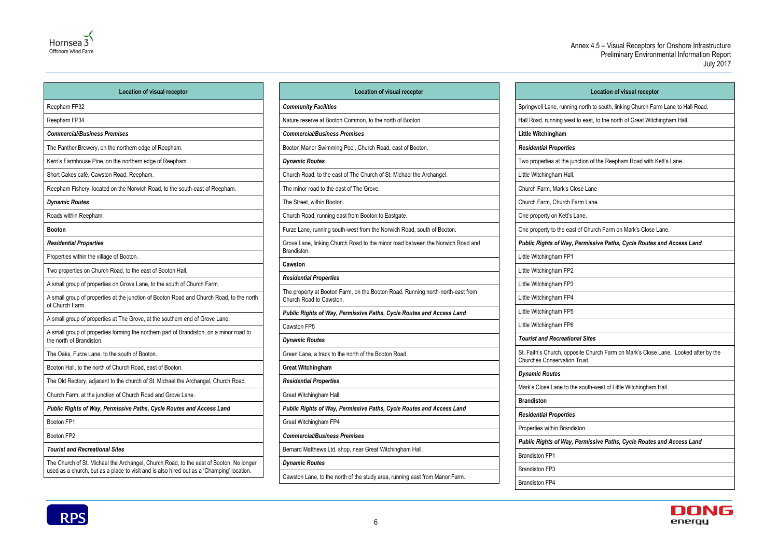| <b>Location of visual receptor</b>                                                                        |  |
|-----------------------------------------------------------------------------------------------------------|--|
| <b>Community Facilities</b>                                                                               |  |
| Nature reserve at Booton Common, to the north of Booton.                                                  |  |
| <b>Commercial/Business Premises</b>                                                                       |  |
| Booton Manor Swimming Pool, Church Road, east of Booton.                                                  |  |
| <b>Dynamic Routes</b>                                                                                     |  |
| Church Road, to the east of The Church of St. Michael the Archangel.                                      |  |
| The minor road to the east of The Grove.                                                                  |  |
| The Street, within Booton.                                                                                |  |
| Church Road, running east from Booton to Eastgate.                                                        |  |
| Furze Lane, running south-west from the Norwich Road, south of Booton.                                    |  |
| Grove Lane, linking Church Road to the minor road between the Norwich Road and<br>Brandiston.             |  |
| Cawston                                                                                                   |  |
| <b>Residential Properties</b>                                                                             |  |
| The property at Booton Farm, on the Booton Road. Running north-north-east from<br>Church Road to Cawston. |  |
| Public Rights of Way, Permissive Paths, Cycle Routes and Access Land                                      |  |
| Cawston FP5                                                                                               |  |
| <b>Dynamic Routes</b>                                                                                     |  |
| Green Lane, a track to the north of the Booton Road.                                                      |  |
| <b>Great Witchingham</b>                                                                                  |  |
| <b>Residential Properties</b>                                                                             |  |
| Great Witchingham Hall.                                                                                   |  |
| Public Rights of Way, Permissive Paths, Cycle Routes and Access Land                                      |  |
| Great Witchingham FP4                                                                                     |  |
| <b>Commercial/Business Premises</b>                                                                       |  |
| Bernard Matthews Ltd. shop, near Great Witchingham Hall.                                                  |  |
| <b>Dynamic Routes</b>                                                                                     |  |
| Cawston Lane, to the north of the study area, running east from Manor Farm.                               |  |



| <b>Location of visual receptor</b>                                                                                                                                                  |                           |
|-------------------------------------------------------------------------------------------------------------------------------------------------------------------------------------|---------------------------|
| Reepham FP32                                                                                                                                                                        | Commur                    |
| Reepham FP34                                                                                                                                                                        | Nature re                 |
| <b>Commercial/Business Premises</b>                                                                                                                                                 | Commer                    |
| The Panther Brewery, on the northern edge of Reepham.                                                                                                                               | Booton M                  |
| Kerri's Farmhouse Pine, on the northern edge of Reepham.                                                                                                                            | <b>Dynamic</b>            |
| Short Cakes café, Cawston Road, Reepham.                                                                                                                                            | Church R                  |
| Reepham Fishery, located on the Norwich Road, to the south-east of Reepham.                                                                                                         | The mino                  |
| <b>Dynamic Routes</b>                                                                                                                                                               | The Stree                 |
| Roads within Reepham.                                                                                                                                                               | Church R                  |
| <b>Booton</b>                                                                                                                                                                       | Furze Lar                 |
| <b>Residential Properties</b>                                                                                                                                                       | Grove La                  |
| Properties within the village of Booton.                                                                                                                                            | <b>Brandisto</b>          |
| Two properties on Church Road, to the east of Booton Hall.                                                                                                                          | Cawston                   |
| A small group of properties on Grove Lane, to the south of Church Farm.                                                                                                             | Resident                  |
| A small group of properties at the junction of Booton Road and Church Road, to the north<br>of Church Farm.                                                                         | The prop<br>Church R      |
| A small group of properties at The Grove, at the southern end of Grove Lane.                                                                                                        | <b>Public R</b>           |
| A small group of properties forming the northern part of Brandiston, on a minor road to<br>the north of Brandiston.                                                                 | Cawston<br><b>Dynamic</b> |
| The Oaks, Furze Lane, to the south of Booton.                                                                                                                                       | Green La                  |
| Booton Hall, to the north of Church Road, east of Booton.                                                                                                                           | <b>Great Wi</b>           |
| The Old Rectory, adjacent to the church of St. Michael the Archangel, Church Road.                                                                                                  | Resident                  |
| Church Farm, at the junction of Church Road and Grove Lane.                                                                                                                         | <b>Great Wit</b>          |
| Public Rights of Way, Permissive Paths, Cycle Routes and Access Land                                                                                                                | <b>Public R</b>           |
| Booton FP1                                                                                                                                                                          | <b>Great Wit</b>          |
| Booton FP2                                                                                                                                                                          | <b>Commer</b>             |
| <b>Tourist and Recreational Sites</b>                                                                                                                                               | Bernard M                 |
| The Church of St. Michael the Archangel, Church Road, to the east of Booton. No longer<br>used as a church, but as a place to visit and is also hired out as a 'Champing' location. | <b>Dynamic</b>            |

| <b>Location of visual receptor</b>                                                                                        |
|---------------------------------------------------------------------------------------------------------------------------|
| Springwell Lane, running north to south, linking Church Farm Lane to Hall Road.                                           |
| Hall Road, running west to east, to the north of Great Witchingham Hall.                                                  |
| Little Witchingham                                                                                                        |
| <b>Residential Properties</b>                                                                                             |
| Two properties at the junction of the Reepham Road with Kett's Lane.                                                      |
| Little Witchingham Hall.                                                                                                  |
| Church Farm, Mark's Close Lane                                                                                            |
| Church Farm, Church Farm Lane.                                                                                            |
| One property on Kett's Lane.                                                                                              |
| One property to the east of Church Farm on Mark's Close Lane.                                                             |
| Public Rights of Way, Permissive Paths, Cycle Routes and Access Land                                                      |
| Little Witchingham FP1                                                                                                    |
| Little Witchingham FP2                                                                                                    |
| Little Witchingham FP3                                                                                                    |
| Little Witchingham FP4                                                                                                    |
| Little Witchingham FP5                                                                                                    |
| Little Witchingham FP6                                                                                                    |
| <b>Tourist and Recreational Sites</b>                                                                                     |
| St. Faith's Church, opposite Church Farm on Mark's Close Lane. Looked after by the<br><b>Churches Conservation Trust.</b> |
| <b>Dynamic Routes</b>                                                                                                     |
| Mark's Close Lane to the south-west of Little Witchingham Hall.                                                           |
| <b>Brandiston</b>                                                                                                         |
| <b>Residential Properties</b>                                                                                             |
| Properties within Brandiston.                                                                                             |
| Public Rights of Way, Permissive Paths, Cycle Routes and Access Land                                                      |
| <b>Brandiston FP1</b>                                                                                                     |
| <b>Brandiston FP3</b>                                                                                                     |
| <b>Brandiston FP4</b>                                                                                                     |
|                                                                                                                           |



| L٥                                                                 |
|--------------------------------------------------------------------|
| Springwell Lane, running north to                                  |
| Hall Road, running west to east, to                                |
| Little Witchingham                                                 |
| <b>Residential Properties</b>                                      |
| Two properties at the junction of tl                               |
| Little Witchingham Hall.                                           |
| Church Farm, Mark's Close Lane                                     |
| Church Farm, Church Farm Lane.                                     |
| One property on Kett's Lane.                                       |
| One property to the east of Churcl                                 |
| <b>Public Rights of Way, Permissiv</b>                             |
| Little Witchingham FP1                                             |
| Little Witchingham FP2                                             |
| Little Witchingham FP3                                             |
| Little Witchingham FP4                                             |
| Little Witchingham FP5                                             |
| Little Witchingham FP6                                             |
| <b>Tourist and Recreational Sites</b>                              |
| St. Faith's Church, opposite Churd<br>Churches Conservation Trust. |
| <b>Dynamic Routes</b>                                              |
| Mark's Close Lane to the south-w                                   |
| <b>Brandiston</b>                                                  |
| <b>Residential Properties</b>                                      |
| Properties within Brandiston.                                      |
| <b>Public Rights of Way, Permissiv</b>                             |
| <b>Brandiston FP1</b>                                              |
| <b>Brandiston FP3</b>                                              |
| <b>Brandiston FP4</b>                                              |

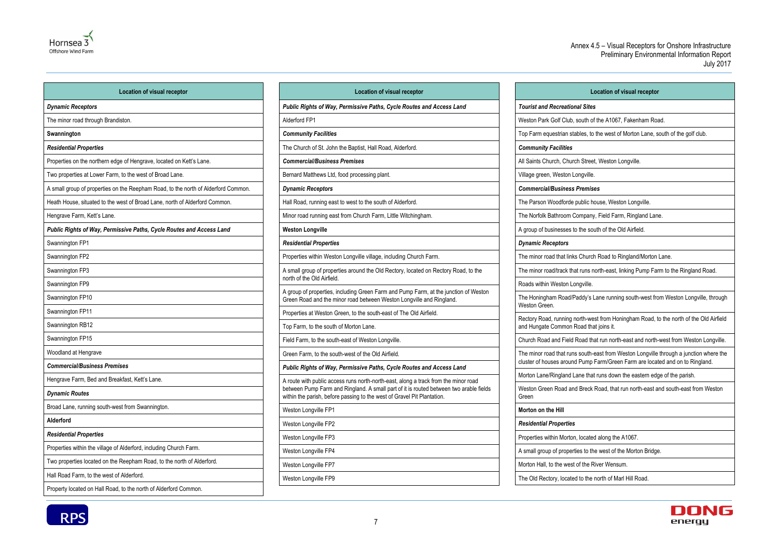

| <b>Location of visual receptor</b>                                                 | Lc                                                                  |
|------------------------------------------------------------------------------------|---------------------------------------------------------------------|
| <b>Dynamic Receptors</b>                                                           | <b>Public Rights of Way, Permiss</b>                                |
| The minor road through Brandiston.                                                 | Alderford FP1                                                       |
| Swannington                                                                        | <b>Community Facilities</b>                                         |
| <b>Residential Properties</b>                                                      | The Church of St. John the Bapti                                    |
| Properties on the northern edge of Hengrave, located on Kett's Lane.               | <b>Commercial/Business Premise</b>                                  |
| Two properties at Lower Farm, to the west of Broad Lane.                           | Bernard Matthews Ltd, food proc                                     |
| A small group of properties on the Reepham Road, to the north of Alderford Common. | <b>Dynamic Receptors</b>                                            |
| Heath House, situated to the west of Broad Lane, north of Alderford Common.        | Hall Road, running east to west t                                   |
| Hengrave Farm, Kett's Lane.                                                        | Minor road running east from Ch                                     |
| Public Rights of Way, Permissive Paths, Cycle Routes and Access Land               | <b>Weston Longville</b>                                             |
| Swannington FP1                                                                    | <b>Residential Properties</b>                                       |
| Swannington FP2                                                                    | Properties within Weston Longvil                                    |
| Swannington FP3                                                                    | A small group of properties arour<br>north of the Old Airfield.     |
| Swannington FP9<br>Swannington FP10                                                | A group of properties, including (<br>Green Road and the minor road |
| Swannington FP11                                                                   | Properties at Weston Green, to tl                                   |
| Swannington RB12                                                                   | Top Farm, to the south of Mortor                                    |
| Swannington FP15                                                                   | Field Farm, to the south-east of \                                  |
| Woodland at Hengrave                                                               | Green Farm, to the south-west of                                    |
| <b>Commercial/Business Premises</b>                                                | <b>Public Rights of Way, Permiss</b>                                |
| Hengrave Farm, Bed and Breakfast, Kett's Lane.                                     | A route with public access runs n                                   |
| <b>Dynamic Routes</b>                                                              | between Pump Farm and Ringlar<br>within the parish, before passing  |
| Broad Lane, running south-west from Swannington.                                   | Weston Longville FP1                                                |
| Alderford                                                                          | Weston Longville FP2                                                |
| <b>Residential Properties</b>                                                      | Weston Longville FP3                                                |
| Properties within the village of Alderford, including Church Farm.                 | Weston Longville FP4                                                |
| Two properties located on the Reepham Road, to the north of Alderford.             | Weston Longville FP7                                                |
| Hall Road Farm, to the west of Alderford.                                          | Weston Longville FP9                                                |
| Property located on Hall Road, to the north of Alderford Common.                   |                                                                     |

| <b>Location of visual receptor</b>                                                                                                                                                                                                                       |
|----------------------------------------------------------------------------------------------------------------------------------------------------------------------------------------------------------------------------------------------------------|
|                                                                                                                                                                                                                                                          |
| Public Rights of Way, Permissive Paths, Cycle Routes and Access Land                                                                                                                                                                                     |
| Alderford FP1                                                                                                                                                                                                                                            |
| <b>Community Facilities</b>                                                                                                                                                                                                                              |
| The Church of St. John the Baptist, Hall Road, Alderford.                                                                                                                                                                                                |
| <b>Commercial/Business Premises</b>                                                                                                                                                                                                                      |
| Bernard Matthews Ltd, food processing plant.                                                                                                                                                                                                             |
| <b>Dynamic Receptors</b>                                                                                                                                                                                                                                 |
| Hall Road, running east to west to the south of Alderford.                                                                                                                                                                                               |
| Minor road running east from Church Farm, Little Witchingham.                                                                                                                                                                                            |
| <b>Weston Longville</b>                                                                                                                                                                                                                                  |
| <b>Residential Properties</b>                                                                                                                                                                                                                            |
| Properties within Weston Longville village, including Church Farm.                                                                                                                                                                                       |
| A small group of properties around the Old Rectory, located on Rectory Road, to the<br>north of the Old Airfield.                                                                                                                                        |
| A group of properties, including Green Farm and Pump Farm, at the junction of Weston<br>Green Road and the minor road between Weston Longville and Ringland.                                                                                             |
| Properties at Weston Green, to the south-east of The Old Airfield.                                                                                                                                                                                       |
| Top Farm, to the south of Morton Lane.                                                                                                                                                                                                                   |
| Field Farm, to the south-east of Weston Longville.                                                                                                                                                                                                       |
| Green Farm, to the south-west of the Old Airfield.                                                                                                                                                                                                       |
| Public Rights of Way, Permissive Paths, Cycle Routes and Access Land                                                                                                                                                                                     |
| A route with public access runs north-north-east, along a track from the minor road<br>between Pump Farm and Ringland. A small part of it is routed between two arable fields<br>within the parish, before passing to the west of Gravel Pit Plantation. |
| Weston Longville FP1                                                                                                                                                                                                                                     |
| Weston Longville FP2                                                                                                                                                                                                                                     |
| Weston Longville FP3                                                                                                                                                                                                                                     |
| Weston Longville FP4                                                                                                                                                                                                                                     |
| Weston Longville FP7                                                                                                                                                                                                                                     |
| Weston Lonaville FP9                                                                                                                                                                                                                                     |

#### **Location of visual receptor**

Top Farm equestrian stables, to the west of Morton Lane, south of the golf club.

The minor road that links Church Road to Ringland/Morton Lane.

The minor road/track that runs north-east, linking Pump Farm to the Ringland Road.

The Honingham Road/Paddy's Lane running south-west from Weston Longville, through

Rectory Road, running north-west from Honingham Road, to the north of the Old Airfield

Church Road and Field Road that run north-east and north-west from Weston Longville.

The minor road that runs south-east from Weston Longville through a junction where the cluster of houses around Pump Farm/Green Farm are located and on to Ringland.

Morton Lane/Ringland Lane that runs down the eastern edge of the parish.

Weston Green Road and Breck Road, that run north-east and south-east from Weston

The Old Rectory, located to the north of Marl Hill Road.

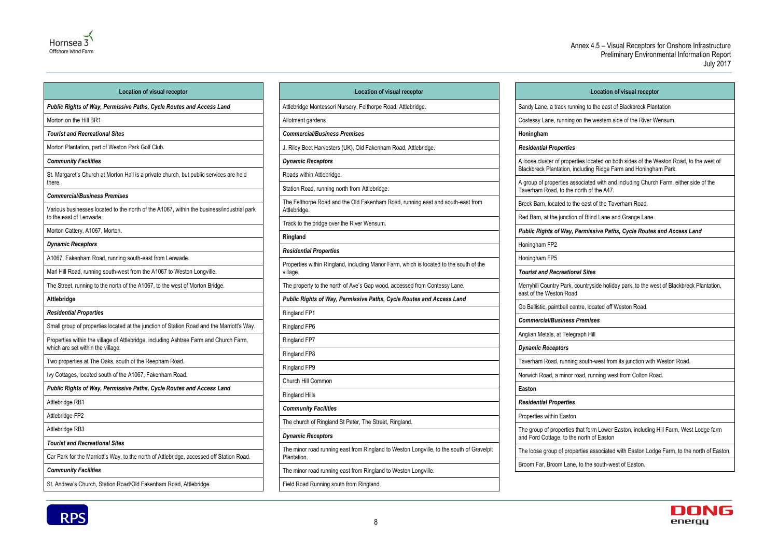

| <b>Location of visual receptor</b>                                                                                                | Location                                               |
|-----------------------------------------------------------------------------------------------------------------------------------|--------------------------------------------------------|
| Public Rights of Way, Permissive Paths, Cycle Routes and Access Land                                                              | Attlebridge Montessori Nursery, Felthorp               |
| Morton on the Hill BR1                                                                                                            | Allotment gardens                                      |
| <b>Tourist and Recreational Sites</b>                                                                                             | <b>Commercial/Business Premises</b>                    |
| Morton Plantation, part of Weston Park Golf Club.                                                                                 | J. Riley Beet Harvesters (UK), Old Faker               |
| <b>Community Facilities</b>                                                                                                       | <b>Dynamic Receptors</b>                               |
| St. Margaret's Church at Morton Hall is a private church, but public services are held<br>there.                                  | Roads within Attlebridge.                              |
| <b>Commercial/Business Premises</b>                                                                                               | Station Road, running north from Attlebri              |
| Various businesses located to the north of the A1067, within the business/industrial park<br>to the east of Lenwade.              | The Felthorpe Road and the Old Fakenh<br>Attlebridge.  |
| Morton Cattery, A1067, Morton.                                                                                                    | Track to the bridge over the River Wensu               |
| <b>Dynamic Receptors</b>                                                                                                          | Ringland                                               |
| A1067, Fakenham Road, running south-east from Lenwade.                                                                            | <b>Residential Properties</b>                          |
| Marl Hill Road, running south-west from the A1067 to Weston Longville.                                                            | Properties within Ringland, including Mar<br>village.  |
| The Street, running to the north of the A1067, to the west of Morton Bridge.                                                      | The property to the north of Ave's Gap w               |
| Attlebridge                                                                                                                       | <b>Public Rights of Way, Permissive Path</b>           |
| <b>Residential Properties</b>                                                                                                     | Ringland FP1                                           |
| Small group of properties located at the junction of Station Road and the Marriott's Way.                                         | Ringland FP6                                           |
| Properties within the village of Attlebridge, including Ashtree Farm and Church Farm,<br>which are set within the village.        | Ringland FP7                                           |
| Two properties at The Oaks, south of the Reepham Road.                                                                            | Ringland FP8                                           |
| Ivy Cottages, located south of the A1067, Fakenham Road.                                                                          | Ringland FP9                                           |
| Public Rights of Way, Permissive Paths, Cycle Routes and Access Land                                                              | Church Hill Common                                     |
| Attlebridge RB1                                                                                                                   | <b>Ringland Hills</b>                                  |
| Attlebridge FP2                                                                                                                   | <b>Community Facilities</b>                            |
|                                                                                                                                   | The church of Ringland St Peter, The Str               |
| Attlebridge RB3                                                                                                                   | <b>Dynamic Receptors</b>                               |
| <b>Tourist and Recreational Sites</b><br>Car Park for the Marriott's Way, to the north of Attlebridge, accessed off Station Road. | The minor road running east from Ringla<br>Plantation. |
| <b>Community Facilities</b>                                                                                                       | The minor road running east from Ringla                |
| St. Andrew's Church, Station Road/Old Fakenham Road, Attlebridge.                                                                 | Field Road Running south from Ringland                 |

| <b>Location of visual receptor</b>                           |                                                                     |
|--------------------------------------------------------------|---------------------------------------------------------------------|
| ry, Felthorpe Road, Attlebridge.                             | Sandy Lane, a track running to                                      |
|                                                              | Costessy Lane, running on the                                       |
| ıises                                                        | Honingham                                                           |
| , Old Fakenham Road, Attlebridge.                            | <b>Residential Properties</b>                                       |
|                                                              | A loose cluster of properties lo<br>Blackbreck Plantation, includin |
| om Attlebridge.                                              | A group of properties associate<br>Taverham Road, to the north o    |
| Old Fakenham Road, running east and south-east from          | Breck Barn, located to the eas                                      |
|                                                              | Red Barn, at the junction of Bli                                    |
| ใiver Wensum.                                                | <b>Public Rights of Way, Permis</b>                                 |
|                                                              | Honingham FP2                                                       |
| cluding Manor Farm, which is located to the south of the     | Honingham FP5                                                       |
|                                                              | <b>Tourist and Recreational Site</b>                                |
| ve's Gap wood, accessed from Contessy Lane.                  | Merryhill Country Park, country<br>east of the Weston Road          |
| issive Paths, Cycle Routes and Access Land                   | Go Ballistic, paintball centre, Id                                  |
|                                                              | <b>Commercial/Business Premi</b>                                    |
|                                                              | Anglian Metals, at Telegraph H                                      |
|                                                              | <b>Dynamic Receptors</b>                                            |
|                                                              | Taverham Road, running south                                        |
|                                                              | Norwich Road, a minor road, ro                                      |
|                                                              | Easton                                                              |
|                                                              | <b>Residential Properties</b>                                       |
|                                                              | Properties within Easton                                            |
| ter, The Street, Ringland.                                   | The group of properties that fo<br>and Ford Cottage, to the north   |
| from Ringland to Weston Longville, to the south of Gravelpit | The loose group of properties a                                     |
| from Ringland to Weston Longville.                           | Broom Far, Broom Lane, to the                                       |
| m Ringland.                                                  |                                                                     |
|                                                              |                                                                     |



| <b>Location of visual receptor</b>                                                                                                                        |
|-----------------------------------------------------------------------------------------------------------------------------------------------------------|
| Sandy Lane, a track running to the east of Blackbreck Plantation                                                                                          |
| Costessy Lane, running on the western side of the River Wensum.                                                                                           |
| Honingham                                                                                                                                                 |
| <b>Residential Properties</b>                                                                                                                             |
| A loose cluster of properties located on both sides of the Weston Road, to the west of<br>Blackbreck Plantation, including Ridge Farm and Honingham Park. |
| A group of properties associated with and including Church Farm, either side of the<br>Taverham Road, to the north of the A47.                            |
| Breck Barn, located to the east of the Taverham Road.                                                                                                     |
| Red Barn, at the junction of Blind Lane and Grange Lane.                                                                                                  |
| Public Rights of Way, Permissive Paths, Cycle Routes and Access Land                                                                                      |
| Honingham FP2                                                                                                                                             |
| Honingham FP5                                                                                                                                             |
| <b>Tourist and Recreational Sites</b>                                                                                                                     |
| Merryhill Country Park, countryside holiday park, to the west of Blackbreck Plantation,<br>east of the Weston Road                                        |
| Go Ballistic, paintball centre, located off Weston Road.                                                                                                  |
| <b>Commercial/Business Premises</b>                                                                                                                       |
| Anglian Metals, at Telegraph Hill                                                                                                                         |
| <b>Dynamic Receptors</b>                                                                                                                                  |
| Taverham Road, running south-west from its junction with Weston Road.                                                                                     |
| Norwich Road, a minor road, running west from Colton Road.                                                                                                |
| Easton                                                                                                                                                    |
| <b>Residential Properties</b>                                                                                                                             |
| Properties within Easton                                                                                                                                  |
| The group of properties that form Lower Easton, including Hill Farm, West Lodge farm<br>and Ford Cottage, to the north of Easton                          |
| The loose group of properties associated with Easton Lodge Farm, to the north of Easton.                                                                  |
| Broom Far, Broom Lane, to the south-west of Easton.                                                                                                       |

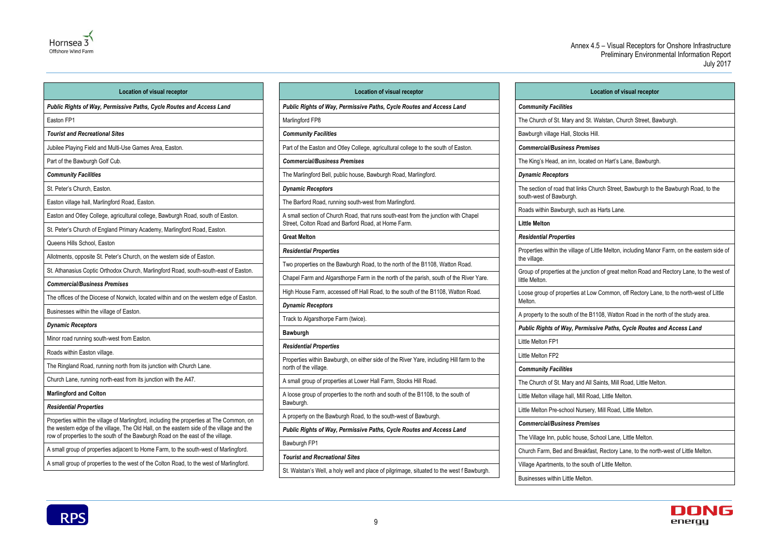

| <b>Location of visual receptor</b>                                                                                                                                           |                                                |
|------------------------------------------------------------------------------------------------------------------------------------------------------------------------------|------------------------------------------------|
| Public Rights of Way, Permissive Paths, Cycle Routes and Access Land                                                                                                         | <b>Public Rights of Wa</b>                     |
| Easton FP1                                                                                                                                                                   | Marlingford FP8                                |
| <b>Tourist and Recreational Sites</b>                                                                                                                                        | <b>Community Faciliti</b>                      |
| Jubilee Playing Field and Multi-Use Games Area, Easton.                                                                                                                      | Part of the Easton ar                          |
| Part of the Bawburgh Golf Cub.                                                                                                                                               | <b>Commercial/Busine</b>                       |
| <b>Community Facilities</b>                                                                                                                                                  | The Marlingford Bell                           |
| St. Peter's Church, Easton.                                                                                                                                                  | <b>Dynamic Receptors</b>                       |
| Easton village hall, Marlingford Road, Easton.                                                                                                                               | The Barford Road, ru                           |
| Easton and Otley College, agricultural college, Bawburgh Road, south of Easton.                                                                                              | A small section of CI                          |
| St. Peter's Church of England Primary Academy, Marlingford Road, Easton.                                                                                                     | Street, Colton Road                            |
| Queens Hills School, Easton                                                                                                                                                  | <b>Great Melton</b>                            |
| Allotments, opposite St. Peter's Church, on the western side of Easton.                                                                                                      | <b>Residential Properi</b>                     |
| St. Athanasius Coptic Orthodox Church, Marlingford Road, south-south-east of Easton.                                                                                         | Two properties on th                           |
| <b>Commercial/Business Premises</b>                                                                                                                                          | Chapel Farm and Al                             |
| The offices of the Diocese of Norwich, located within and on the western edge of Easton.                                                                                     | High House Farm, a                             |
| Businesses within the village of Easton.                                                                                                                                     | <b>Dynamic Receptors</b>                       |
| <b>Dynamic Receptors</b>                                                                                                                                                     | Track to Algarsthorp                           |
| Minor road running south-west from Easton.                                                                                                                                   | Bawburgh                                       |
| Roads within Easton village.                                                                                                                                                 | <b>Residential Properi</b>                     |
| The Ringland Road, running north from its junction with Church Lane.                                                                                                         | Properties within Bay<br>north of the village. |
| Church Lane, running north-east from its junction with the A47.                                                                                                              | A small group of pro                           |
| <b>Marlingford and Colton</b>                                                                                                                                                | A loose group of pro                           |
| <b>Residential Properties</b>                                                                                                                                                | Bawburgh.                                      |
| Properties within the village of Marlingford, including the properties at The Common, on                                                                                     | A property on the Ba                           |
| the western edge of the village. The Old Hall, on the eastern side of the village and the<br>row of properties to the south of the Bawburgh Road on the east of the village. | <b>Public Rights of Wa</b>                     |
| A small group of properties adjacent to Home Farm, to the south-west of Marlingford.                                                                                         | Bawburgh FP1                                   |
| A small group of properties to the west of the Colton Road, to the west of Marlingford.                                                                                      | <b>Tourist and Recrea</b>                      |
|                                                                                                                                                                              |                                                |

## **Location of visual receptor** St. Walstan, Church Street, Bawburgh.  $\mathsf{s}\mathsf{H}$ ill. *Commercial/Business Premises* rated on Hart's Lane, Bawburgh. Ghurch Street, Bawburgh to the Bawburgh Road, to the ch as Harts Lane. of Little Melton, including Manor Farm, on the eastern side of inction of great melton Road and Rectory Lane, to the west of t Low Common, off Rectory Lane, to the north-west of Little e B1108, Watton Road in the north of the study area. *Public Rights of Way, Permissive Paths, Cycle Routes and Access Land* All Saints, Mill Road, Little Melton. Road, Little Melton. sery, Mill Road, Little Melton. *Commercial/Business Premises* e, School Lane, Little Melton. kfast, Rectory Lane, to the north-west of Little Melton. outh of Little Melton.



|                     | <b>Location of visual receptor</b>                                                                                                        |
|---------------------|-------------------------------------------------------------------------------------------------------------------------------------------|
|                     | Public Rights of Way, Permissive Paths, Cycle Routes and Access Land                                                                      |
| Marlingford FP8     |                                                                                                                                           |
|                     | <b>Community Facilities</b>                                                                                                               |
|                     | Part of the Easton and Otley College, agricultural college to the south of Easton.                                                        |
|                     | <b>Commercial/Business Premises</b>                                                                                                       |
|                     | The Marlingford Bell, public house, Bawburgh Road, Marlingford.                                                                           |
|                     | <b>Dynamic Receptors</b>                                                                                                                  |
|                     | The Barford Road, running south-west from Marlingford.                                                                                    |
|                     | A small section of Church Road, that runs south-east from the junction with Chapel<br>Street, Colton Road and Barford Road, at Home Farm. |
| <b>Great Melton</b> |                                                                                                                                           |
|                     | <b>Residential Properties</b>                                                                                                             |
|                     | Two properties on the Bawburgh Road, to the north of the B1108, Watton Road.                                                              |
|                     | Chapel Farm and Algarsthorpe Farm in the north of the parish, south of the River Yare.                                                    |
|                     | High House Farm, accessed off Hall Road, to the south of the B1108, Watton Road.                                                          |
|                     | <b>Dynamic Receptors</b>                                                                                                                  |
|                     | Track to Algarsthorpe Farm (twice).                                                                                                       |
| <b>Bawburgh</b>     |                                                                                                                                           |
|                     | <b>Residential Properties</b>                                                                                                             |
|                     | Properties within Bawburgh, on either side of the River Yare, including Hill farm to the<br>north of the village.                         |
|                     | A small group of properties at Lower Hall Farm, Stocks Hill Road.                                                                         |
| Bawburgh.           | A loose group of properties to the north and south of the B1108, to the south of                                                          |
|                     | A property on the Bawburgh Road, to the south-west of Bawburgh.                                                                           |
|                     | Public Rights of Way, Permissive Paths, Cycle Routes and Access Land                                                                      |
| Bawburgh FP1        |                                                                                                                                           |
|                     | <b>Tourist and Recreational Sites</b>                                                                                                     |
|                     | St. Walstan's Well, a holy well and place of pilgrimage, situated to the west f Bawburgh.                                                 |

|                             | Ĺ                                                           |
|-----------------------------|-------------------------------------------------------------|
| <b>Community Facilities</b> |                                                             |
|                             | The Church of St. Mary and St.                              |
|                             | Bawburgh village Hall, Stocks I                             |
|                             | <b>Commercial/Business Premis</b>                           |
|                             | The King's Head, an inn, locate                             |
| <b>Dynamic Receptors</b>    |                                                             |
|                             | The section of road that links C<br>south-west of Bawburgh. |
|                             | Roads within Bawburgh, such a                               |
| <b>Little Melton</b>        |                                                             |
|                             | <b>Residential Properties</b>                               |
| the village.                | Properties within the village of L                          |
| little Melton.              | Group of properties at the junct                            |
| Melton.                     | Loose group of properties at Lo                             |
|                             | A property to the south of the B                            |
|                             | <b>Public Rights of Way, Permis</b>                         |
| Little Melton FP1           |                                                             |
| Little Melton FP2           |                                                             |
| <b>Community Facilities</b> |                                                             |
|                             | The Church of St. Mary and All                              |
|                             | Little Melton village hall, Mill Ro                         |
|                             | Little Melton Pre-school Nurser                             |
|                             | <b>Commercial/Business Premis</b>                           |
|                             | The Village Inn, public house, S                            |
|                             | Church Farm, Bed and Breakfa                                |
|                             | Village Apartments, to the south                            |
|                             | Businesses within Little Melton.                            |

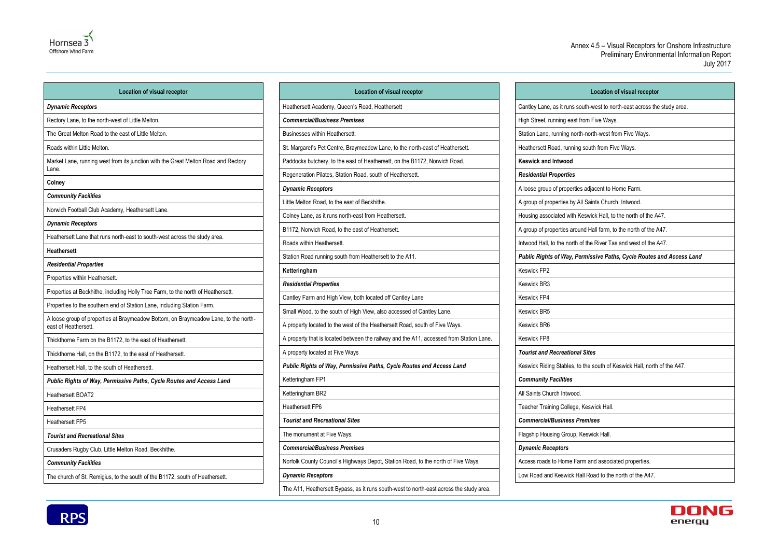

| <b>Location of visual receptor</b>                                                                          |  |
|-------------------------------------------------------------------------------------------------------------|--|
| <b>Dynamic Receptors</b>                                                                                    |  |
| Rectory Lane, to the north-west of Little Melton.                                                           |  |
| The Great Melton Road to the east of Little Melton.                                                         |  |
| Roads within Little Melton.                                                                                 |  |
| Market Lane, running west from its junction with the Great Melton Road and Rectory<br>Lane.                 |  |
| <b>Colney</b>                                                                                               |  |
| <b>Community Facilities</b>                                                                                 |  |
| Norwich Football Club Academy, Heathersett Lane.                                                            |  |
| <b>Dynamic Receptors</b>                                                                                    |  |
| Heathersett Lane that runs north-east to south-west across the study area.                                  |  |
| <b>Heathersett</b>                                                                                          |  |
| <b>Residential Properties</b>                                                                               |  |
| Properties within Heathersett.                                                                              |  |
| Properties at Beckhithe, including Holly Tree Farm, to the north of Heathersett.                            |  |
| Properties to the southern end of Station Lane, including Station Farm.                                     |  |
| A loose group of properties at Braymeadow Bottom, on Braymeadow Lane, to the north-<br>east of Heathersett. |  |
| Thickthorne Farm on the B1172, to the east of Heathersett.                                                  |  |
| Thickthorne Hall, on the B1172, to the east of Heathersett.                                                 |  |
| Heathersett Hall, to the south of Heathersett.                                                              |  |
| Public Rights of Way, Permissive Paths, Cycle Routes and Access Land                                        |  |
| Heathersett BOAT2                                                                                           |  |
| Heathersett FP4                                                                                             |  |
| <b>Heathersett FP5</b>                                                                                      |  |
| <b>Tourist and Recreational Sites</b>                                                                       |  |
| Crusaders Rugby Club, Little Melton Road, Beckhithe.                                                        |  |
| <b>Community Facilities</b>                                                                                 |  |
| The church of St. Remigius, to the south of the B1172, south of Heathersett.                                |  |

| Location of visual receptor                                                             |
|-----------------------------------------------------------------------------------------|
| Heathersett Academy, Queen's Road, Heathersett                                          |
| <b>Commercial/Business Premises</b>                                                     |
| Businesses within Heathersett.                                                          |
| St. Margaret's Pet Centre, Braymeadow Lane, to the north-east of Heathersett.           |
| Paddocks butchery, to the east of Heathersett, on the B1172, Norwich Road.              |
| Regeneration Pilates, Station Road, south of Heathersett.                               |
| <b>Dynamic Receptors</b>                                                                |
| Little Melton Road, to the east of Beckhithe.                                           |
| Colney Lane, as it runs north-east from Heathersett.                                    |
| B1172, Norwich Road, to the east of Heathersett.                                        |
| Roads within Heathersett.                                                               |
| Station Road running south from Heathersett to the A11.                                 |
| Ketteringham                                                                            |
| <b>Residential Properties</b>                                                           |
| Cantley Farm and High View, both located off Cantley Lane                               |
| Small Wood, to the south of High View, also accessed of Cantley Lane.                   |
| A property located to the west of the Heathersett Road, south of Five Ways.             |
| A property that is located between the railway and the A11, accessed from Station Lane. |
| A property located at Five Ways                                                         |
| Public Rights of Way, Permissive Paths, Cycle Routes and Access Land                    |
| Ketteringham FP1                                                                        |
| Ketteringham BR2                                                                        |
| <b>Heathersett FP6</b>                                                                  |
| <b>Tourist and Recreational Sites</b>                                                   |
| The monument at Five Ways.                                                              |
| <b>Commercial/Business Premises</b>                                                     |
| Norfolk County Council's Highways Depot, Station Road, to the north of Five Ways.       |
| <b>Dynamic Receptors</b>                                                                |
| The A11, Heathersett Bypass, as it runs south-west to north-east across the study area. |

| <b>Location of visual receptor</b>                                       |
|--------------------------------------------------------------------------|
| Cantley Lane, as it runs south-west to north-east across the study area. |
| High Street, running east from Five Ways.                                |
| Station Lane, running north-north-west from Five Ways.                   |
| Heathersett Road, running south from Five Ways.                          |
| <b>Keswick and Intwood</b>                                               |
| <b>Residential Properties</b>                                            |
| A loose group of properties adjacent to Home Farm.                       |
| A group of properties by All Saints Church, Intwood.                     |
| Housing associated with Keswick Hall, to the north of the A47.           |
| A group of properties around Hall farm, to the north of the A47.         |
| Intwood Hall, to the north of the River Tas and west of the A47.         |
| Public Rights of Way, Permissive Paths, Cycle Routes and Access Land     |
| Keswick FP2                                                              |
| Keswick BR3                                                              |
| Keswick FP4                                                              |
| Keswick BR5                                                              |
| Keswick BR6                                                              |
| Keswick FP8                                                              |
| <b>Tourist and Recreational Sites</b>                                    |
| Keswick Riding Stables, to the south of Keswick Hall, north of the A47.  |
| <b>Community Facilities</b>                                              |
| All Saints Church Intwood.                                               |
| Teacher Training College, Keswick Hall.                                  |
| <b>Commercial/Business Premises</b>                                      |
| Flagship Housing Group, Keswick Hall.                                    |
| <b>Dynamic Receptors</b>                                                 |
| Access roads to Home Farm and associated properties.                     |
| Low Road and Keswick Hall Road to the north of the A47.                  |



|                                                      | <b>Location of visual recepto</b>                           |
|------------------------------------------------------|-------------------------------------------------------------|
|                                                      | Cantley Lane, as it runs south-west to north-east across tl |
| High Street, running east from Five Ways.            |                                                             |
|                                                      | Station Lane, running north-north-west from Five Ways.      |
| Heathersett Road, running south from Five Ways.      |                                                             |
| <b>Keswick and Intwood</b>                           |                                                             |
| <b>Residential Properties</b>                        |                                                             |
| A loose group of properties adjacent to Home Farm.   |                                                             |
| A group of properties by All Saints Church, Intwood. |                                                             |
|                                                      | Housing associated with Keswick Hall, to the north of the   |
|                                                      | A group of properties around Hall farm, to the north of the |
|                                                      | Intwood Hall, to the north of the River Tas and west of the |
|                                                      | <b>Public Rights of Way, Permissive Paths, Cycle Routes</b> |
| <b>Keswick FP2</b>                                   |                                                             |
| <b>Keswick BR3</b>                                   |                                                             |
| Keswick FP4                                          |                                                             |
| <b>Keswick BR5</b>                                   |                                                             |
| <b>Keswick BR6</b>                                   |                                                             |
| Keswick FP8                                          |                                                             |
| <b>Tourist and Recreational Sites</b>                |                                                             |
|                                                      | Keswick Riding Stables, to the south of Keswick Hall, nort  |
| <b>Community Facilities</b>                          |                                                             |
| All Saints Church Intwood.                           |                                                             |
| Teacher Training College, Keswick Hall.              |                                                             |
| <b>Commercial/Business Premises</b>                  |                                                             |
| Flagship Housing Group, Keswick Hall.                |                                                             |
| <b>Dynamic Receptors</b>                             |                                                             |
|                                                      | Access roads to Home Farm and associated properties.        |
|                                                      | Low Road and Keswick Hall Road to the north of the A47.     |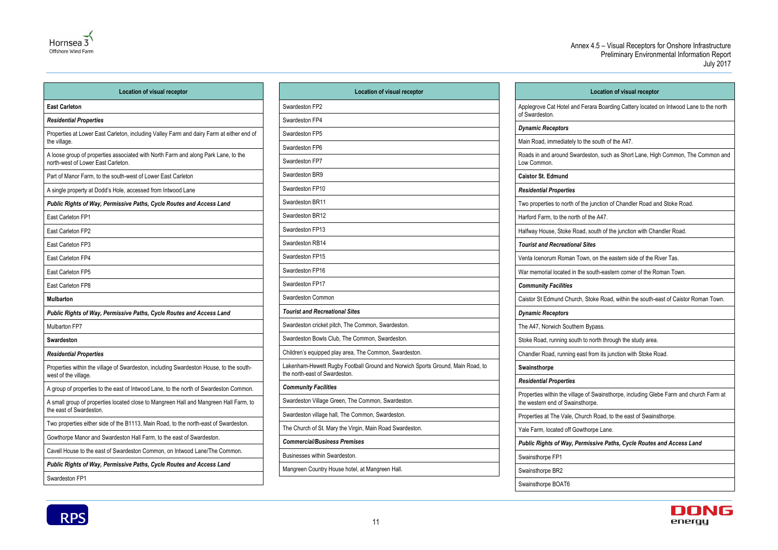

| <b>Location of visual receptor</b>                                                                                       |
|--------------------------------------------------------------------------------------------------------------------------|
| <b>East Carleton</b>                                                                                                     |
| <b>Residential Properties</b>                                                                                            |
| Properties at Lower East Carleton, including Valley Farm and dairy Farm at either end of<br>the village.                 |
| A loose group of properties associated with North Farm and along Park Lane, to the<br>north-west of Lower East Carleton. |
| Part of Manor Farm, to the south-west of Lower East Carleton                                                             |
| A single property at Dodd's Hole, accessed from Intwood Lane                                                             |
| Public Rights of Way, Permissive Paths, Cycle Routes and Access Land                                                     |
| East Carleton FP1                                                                                                        |
| East Carleton FP2                                                                                                        |
| East Carleton FP3                                                                                                        |
| East Carleton FP4                                                                                                        |
| East Carleton FP5                                                                                                        |
| East Carleton FP8                                                                                                        |
| <b>Mulbarton</b>                                                                                                         |
| Public Rights of Way, Permissive Paths, Cycle Routes and Access Land                                                     |
| Mulbarton FP7                                                                                                            |
| <b>Swardeston</b>                                                                                                        |
| <b>Residential Properties</b>                                                                                            |
| Properties within the village of Swardeston, including Swardeston House, to the south-<br>west of the village.           |
| A group of properties to the east of Intwood Lane, to the north of Swardeston Common.                                    |
| A small group of properties located close to Mangreen Hall and Mangreen Hall Farm, to<br>the east of Swardeston.         |
| Two properties either side of the B1113, Main Road, to the north-east of Swardeston.                                     |
| Gowthorpe Manor and Swardeston Hall Farm, to the east of Swardeston.                                                     |
| Cavell House to the east of Swardeston Common, on Intwood Lane/The Common.                                               |
| Public Rights of Way, Permissive Paths, Cycle Routes and Access Land                                                     |

### **Location of visual receptor**

egrove Cat Hotel and Ferara Boarding Cattery located on Intwood Lane to the north

Road, immediately to the south of the A47.

Is in and around Swardeston, such as Short Lane, High Common, The Common and

properties to north of the junction of Chandler Road and Stoke Road.

ord Farm, to the north of the A47.

vay House, Stoke Road, south of the junction with Chandler Road.

| <b>Location of visual receptor</b>                                                                              |                                                         |
|-----------------------------------------------------------------------------------------------------------------|---------------------------------------------------------|
| Swardeston FP2                                                                                                  | Applegrove Cat Hotel an                                 |
| Swardeston FP4                                                                                                  | of Swardeston.                                          |
| Swardeston FP5                                                                                                  | <b>Dynamic Receptors</b>                                |
| Swardeston FP6                                                                                                  | Main Road, immediately                                  |
| Swardeston FP7                                                                                                  | Roads in and around Sw<br>Low Common.                   |
| Swardeston BR9                                                                                                  | <b>Caistor St. Edmund</b>                               |
| Swardeston FP10                                                                                                 | <b>Residential Properties</b>                           |
| Swardeston BR11                                                                                                 | Two properties to north o                               |
| Swardeston BR12                                                                                                 | Harford Farm, to the nor                                |
| Swardeston FP13                                                                                                 | Halfway House, Stoke R                                  |
| Swardeston RB14                                                                                                 | <b>Tourist and Recreation</b>                           |
| Swardeston FP15                                                                                                 | Venta Icenorum Roman                                    |
| Swardeston FP16                                                                                                 | War memorial located in                                 |
| Swardeston FP17                                                                                                 | <b>Community Facilities</b>                             |
| Swardeston Common                                                                                               | Caistor St Edmund Chur                                  |
| <b>Tourist and Recreational Sites</b>                                                                           | <b>Dynamic Receptors</b>                                |
| Swardeston cricket pitch, The Common, Swardeston.                                                               | The A47, Norwich South                                  |
| Swardeston Bowls Club, The Common, Swardeston.                                                                  | Stoke Road, running sou                                 |
| Children's equipped play area, The Common, Swardeston.                                                          | Chandler Road, running                                  |
| Lakenham-Hewett Rugby Football Ground and Norwich Sports Ground, Main Road, to<br>the north-east of Swardeston. | Swainsthorpe                                            |
| <b>Community Facilities</b>                                                                                     | <b>Residential Properties</b>                           |
| Swardeston Village Green, The Common, Swardeston.                                                               | Properties within the villa<br>the western end of Swair |
| Swardeston village hall, The Common, Swardeston.                                                                | Properties at The Vale, 0                               |
| The Church of St. Mary the Virgin, Main Road Swardeston.                                                        | Yale Farm, located off G                                |
| <b>Commercial/Business Premises</b>                                                                             | <b>Public Rights of Way, I</b>                          |
| Businesses within Swardeston.                                                                                   | Swainsthorpe FP1                                        |
| Mangreen Country House hotel, at Mangreen Hall.                                                                 | Swainsthorpe BR2                                        |
|                                                                                                                 |                                                         |

*Tourist and Recreational Sites*

Icenorum Roman Town, on the eastern side of the River Tas.

memorial located in the south-eastern corner of the Roman Town.

tor St Edmund Church, Stoke Road, within the south-east of Caistor Roman Town.

A47, Norwich Southern Bypass.

Be Road, running south to north through the study area.

dler Road, running east from its junction with Stoke Road.

erties within the village of Swainsthorpe, including Glebe Farm and church Farm at vestern end of Swainsthorpe.

erties at The Vale, Church Road, to the east of Swainsthorpe.

Farm, located off Gowthorpe Lane.

*Public Rights of Way, Permissive Paths, Cycle Routes and Access Land*



Swainsthorpe BOAT6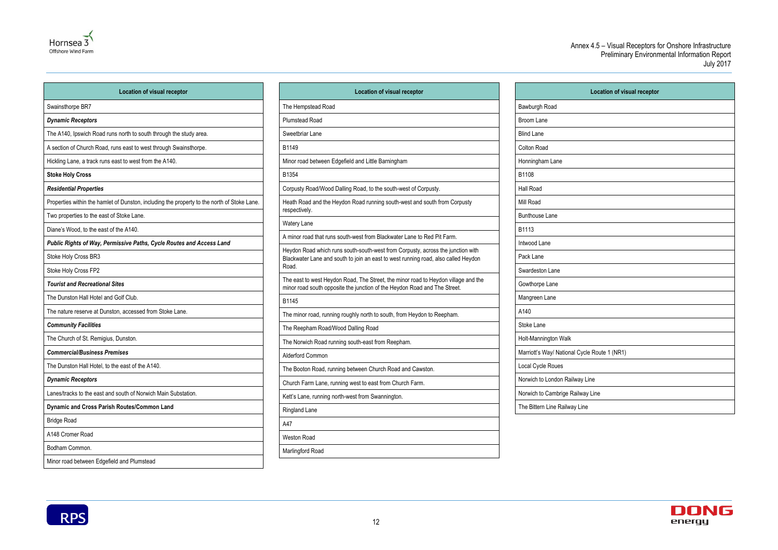

| <b>Location of visual receptor</b>                                                          |  |
|---------------------------------------------------------------------------------------------|--|
| Swainsthorpe BR7                                                                            |  |
| <b>Dynamic Receptors</b>                                                                    |  |
| The A140, Ipswich Road runs north to south through the study area.                          |  |
| A section of Church Road, runs east to west through Swainsthorpe.                           |  |
| Hickling Lane, a track runs east to west from the A140.                                     |  |
| <b>Stoke Holy Cross</b>                                                                     |  |
| <b>Residential Properties</b>                                                               |  |
| Properties within the hamlet of Dunston, including the property to the north of Stoke Lane. |  |
| Two properties to the east of Stoke Lane.                                                   |  |
| Diane's Wood, to the east of the A140.                                                      |  |
| Public Rights of Way, Permissive Paths, Cycle Routes and Access Land                        |  |
| Stoke Holy Cross BR3                                                                        |  |
| Stoke Holy Cross FP2                                                                        |  |
| <b>Tourist and Recreational Sites</b>                                                       |  |
| The Dunston Hall Hotel and Golf Club.                                                       |  |
| The nature reserve at Dunston, accessed from Stoke Lane.                                    |  |
| <b>Community Facilities</b>                                                                 |  |
| The Church of St. Remigius, Dunston.                                                        |  |
| <b>Commercial/Business Premises</b>                                                         |  |
| The Dunston Hall Hotel, to the east of the A140.                                            |  |
| <b>Dynamic Receptors</b>                                                                    |  |
| Lanes/tracks to the east and south of Norwich Main Substation.                              |  |
| Dynamic and Cross Parish Routes/Common Land                                                 |  |
| <b>Bridge Road</b>                                                                          |  |
| A148 Cromer Road                                                                            |  |
| Bodham Common.                                                                              |  |
| Minor road between Edgefield and Plumstead                                                  |  |

| <b>Location of visual receptor</b>                                                                                                                                             |
|--------------------------------------------------------------------------------------------------------------------------------------------------------------------------------|
| The Hempstead Road                                                                                                                                                             |
| <b>Plumstead Road</b>                                                                                                                                                          |
| Sweetbriar Lane                                                                                                                                                                |
| B1149                                                                                                                                                                          |
| Minor road between Edgefield and Little Barningham                                                                                                                             |
| B1354                                                                                                                                                                          |
| Corpusty Road/Wood Dalling Road, to the south-west of Corpusty.                                                                                                                |
| Heath Road and the Heydon Road running south-west and south from Corpusty<br>respectively.                                                                                     |
| <b>Watery Lane</b>                                                                                                                                                             |
| A minor road that runs south-west from Blackwater Lane to Red Pit Farm.                                                                                                        |
| Heydon Road which runs south-south-west from Corpusty, across the junction with<br>Blackwater Lane and south to join an east to west running road, also called Heydon<br>Road. |
| The east to west Heydon Road, The Street, the minor road to Heydon village and the<br>minor road south opposite the junction of the Heydon Road and The Street.                |
| B1145                                                                                                                                                                          |
| The minor road, running roughly north to south, from Heydon to Reepham.                                                                                                        |
| The Reepham Road/Wood Dalling Road                                                                                                                                             |
| The Norwich Road running south-east from Reepham.                                                                                                                              |
| Alderford Common                                                                                                                                                               |
| The Booton Road, running between Church Road and Cawston.                                                                                                                      |
| Church Farm Lane, running west to east from Church Farm.                                                                                                                       |
| Kett's Lane, running north-west from Swannington.                                                                                                                              |
| Ringland Lane                                                                                                                                                                  |
| A47                                                                                                                                                                            |
| <b>Weston Road</b>                                                                                                                                                             |
| Marlingford Road                                                                                                                                                               |

| Location of visual receptor |
|-----------------------------|
|                             |
|                             |
|                             |
|                             |
|                             |
|                             |
|                             |
|                             |
|                             |
|                             |
|                             |
|                             |
|                             |
|                             |
|                             |
|                             |
|                             |
|                             |
| e Route 1 (NR1)             |
|                             |
| ine                         |
| Line                        |
|                             |



|                                              | Location of vi |
|----------------------------------------------|----------------|
| Bawburgh Road                                |                |
| <b>Broom Lane</b>                            |                |
| <b>Blind Lane</b>                            |                |
| Colton Road                                  |                |
| Honningham Lane                              |                |
| B1108                                        |                |
| Hall Road                                    |                |
| Mill Road                                    |                |
| <b>Bunthouse Lane</b>                        |                |
| B1113                                        |                |
| Intwood Lane                                 |                |
| Pack Lane                                    |                |
| Swardeston Lane                              |                |
| Gowthorpe Lane                               |                |
| Mangreen Lane                                |                |
| A140                                         |                |
| Stoke Lane                                   |                |
| Holt-Mannington Walk                         |                |
| Marriott's Way/ National Cycle Route 1 (NR1) |                |
| Local Cycle Roues                            |                |
| Norwich to London Railway Line               |                |
| Norwich to Cambrige Railway Line             |                |
| The Bittern Line Railway Line                |                |

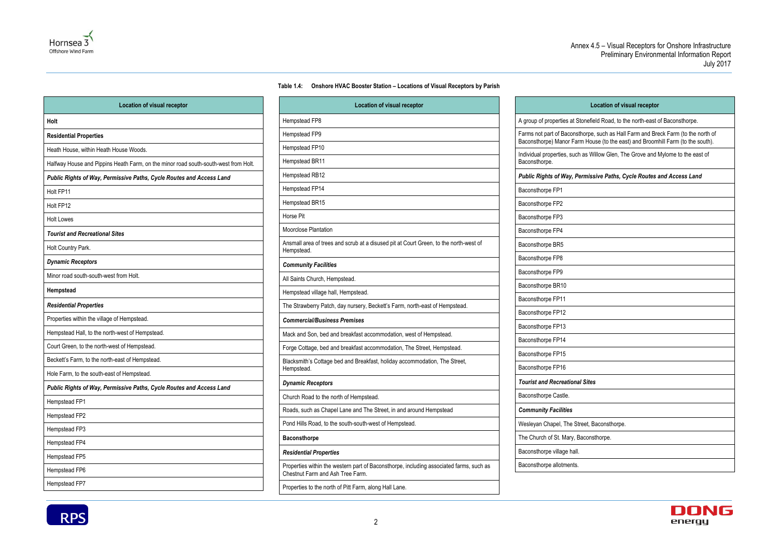### **Table 1.4: Onshore HVAC Booster Station – Locations of Visual Receptors by Parish**

<span id="page-15-0"></span>

| <b>Location of visual receptor</b>                                                  |                                   |
|-------------------------------------------------------------------------------------|-----------------------------------|
| Holt                                                                                | Hempstead FP                      |
| <b>Residential Properties</b>                                                       | Hempstead FP                      |
| Heath House, within Heath House Woods.                                              | Hempstead FP                      |
| Halfway House and Pippins Heath Farm, on the minor road south-south-west from Holt. | Hempstead BR                      |
| Public Rights of Way, Permissive Paths, Cycle Routes and Access Land                | Hempstead RB                      |
| Holt FP11                                                                           | Hempstead FP                      |
| Holt FP12                                                                           | Hempstead BR                      |
| <b>Holt Lowes</b>                                                                   | Horse Pit                         |
| <b>Tourist and Recreational Sites</b>                                               | Moorclose Plan                    |
| Holt Country Park.                                                                  | Ansmall area of<br>Hempstead.     |
| <b>Dynamic Receptors</b>                                                            | <b>Community Fa</b>               |
| Minor road south-south-west from Holt.                                              | All Saints Chure                  |
| Hempstead                                                                           | Hempstead villa                   |
| <b>Residential Properties</b>                                                       | The Strawberry                    |
| Properties within the village of Hempstead.                                         | Commercial/B                      |
| Hempstead Hall, to the north-west of Hempstead.                                     | Mack and Son,                     |
| Court Green, to the north-west of Hempstead.                                        | Forge Cottage,                    |
| Beckett's Farm, to the north-east of Hempstead.                                     | <b>Blacksmith's Co</b>            |
| Hole Farm, to the south-east of Hempstead.                                          | Hempstead.                        |
| Public Rights of Way, Permissive Paths, Cycle Routes and Access Land                | <b>Dynamic Rece</b>               |
| Hempstead FP1                                                                       | Church Road to                    |
| Hempstead FP2                                                                       | Roads, such as                    |
| Hempstead FP3                                                                       | Pond Hills Road                   |
| Hempstead FP4                                                                       | <b>Baconsthorpe</b>               |
| Hempstead FP5                                                                       | <b>Residential Pr</b>             |
| Hempstead FP6                                                                       | Properties withi<br>Chestnut Farm |
| Hempstead FP7                                                                       | Properties to th                  |

| <b>Location of visual receptor</b>                                                                                          |                                                 |
|-----------------------------------------------------------------------------------------------------------------------------|-------------------------------------------------|
| Hempstead FP8                                                                                                               | A group of properties at Stone                  |
| Hempstead FP9                                                                                                               | Farms not part of Baconsthorp                   |
| Hempstead FP10                                                                                                              | Baconsthorpe) Manor Farm H                      |
| Hempstead BR11                                                                                                              | Individual properties, such as<br>Baconsthorpe. |
| Hempstead RB12                                                                                                              | <b>Public Rights of Way, Permi</b>              |
| Hempstead FP14                                                                                                              | Baconsthorpe FP1                                |
| Hempstead BR15                                                                                                              | Baconsthorpe FP2                                |
| Horse Pit                                                                                                                   | Baconsthorpe FP3                                |
| Moorclose Plantation                                                                                                        | Baconsthorpe FP4                                |
| Ansmall area of trees and scrub at a disused pit at Court Green, to the north-west of<br>Hempstead.                         | Baconsthorpe BR5                                |
| <b>Community Facilities</b>                                                                                                 | Baconsthorpe FP8                                |
| All Saints Church, Hempstead.                                                                                               | Baconsthorpe FP9                                |
|                                                                                                                             | Baconsthorpe BR10                               |
| Hempstead village hall, Hempstead.                                                                                          | Baconsthorpe FP11                               |
| The Strawberry Patch, day nursery, Beckett's Farm, north-east of Hempstead.                                                 | Baconsthorpe FP12                               |
| <b>Commercial/Business Premises</b>                                                                                         | Baconsthorpe FP13                               |
| Mack and Son, bed and breakfast accommodation, west of Hempstead.                                                           | Baconsthorpe FP14                               |
| Forge Cottage, bed and breakfast accommodation, The Street, Hempstead.                                                      | Baconsthorpe FP15                               |
| Blacksmith's Cottage bed and Breakfast, holiday accommodation, The Street,<br>Hempstead.                                    | Baconsthorpe FP16                               |
| <b>Dynamic Receptors</b>                                                                                                    | <b>Tourist and Recreational Sit</b>             |
| Church Road to the north of Hempstead.                                                                                      | Baconsthorpe Castle.                            |
| Roads, such as Chapel Lane and The Street, in and around Hempstead                                                          | <b>Community Facilities</b>                     |
| Pond Hills Road, to the south-south-west of Hempstead.                                                                      | Wesleyan Chapel, The Street,                    |
| <b>Baconsthorpe</b>                                                                                                         | The Church of St. Mary, Bacor                   |
| <b>Residential Properties</b>                                                                                               | Baconsthorpe village hall.                      |
| Properties within the western part of Baconsthorpe, including associated farms, such as<br>Chestnut Farm and Ash Tree Farm. | Baconsthorpe allotments.                        |
| Properties to the north of Pitt Farm, along Hall Lane.                                                                      |                                                 |



| <b>Location of visual receptor</b>                                                                                                                                   |
|----------------------------------------------------------------------------------------------------------------------------------------------------------------------|
| A group of properties at Stonefield Road, to the north-east of Baconsthorpe.                                                                                         |
| Farms not part of Baconsthorpe, such as Hall Farm and Breck Farm (to the north of<br>Baconsthorpe) Manor Farm House (to the east) and Broomhill Farm (to the south). |
| Individual properties, such as Willow Glen, The Grove and Mylome to the east of<br>Baconsthorpe.                                                                     |
| Public Rights of Way, Permissive Paths, Cycle Routes and Access Land                                                                                                 |
| Baconsthorpe FP1                                                                                                                                                     |
| Baconsthorpe FP2                                                                                                                                                     |
| Baconsthorpe FP3                                                                                                                                                     |
| Baconsthorpe FP4                                                                                                                                                     |
| Baconsthorpe BR5                                                                                                                                                     |
| Baconsthorpe FP8                                                                                                                                                     |
| Baconsthorpe FP9                                                                                                                                                     |
| Baconsthorpe BR10                                                                                                                                                    |
| Baconsthorpe FP11                                                                                                                                                    |
| Baconsthorpe FP12                                                                                                                                                    |
| Baconsthorpe FP13                                                                                                                                                    |
| Baconsthorpe FP14                                                                                                                                                    |
| Baconsthorpe FP15                                                                                                                                                    |
| Baconsthorpe FP16                                                                                                                                                    |
| <b>Tourist and Recreational Sites</b>                                                                                                                                |
| Baconsthorpe Castle.                                                                                                                                                 |
| <b>Community Facilities</b>                                                                                                                                          |
| Wesleyan Chapel, The Street, Baconsthorpe.                                                                                                                           |
| The Church of St. Mary, Baconsthorpe.                                                                                                                                |
| Baconsthorpe village hall.                                                                                                                                           |
| Baconsthorpe allotments.                                                                                                                                             |

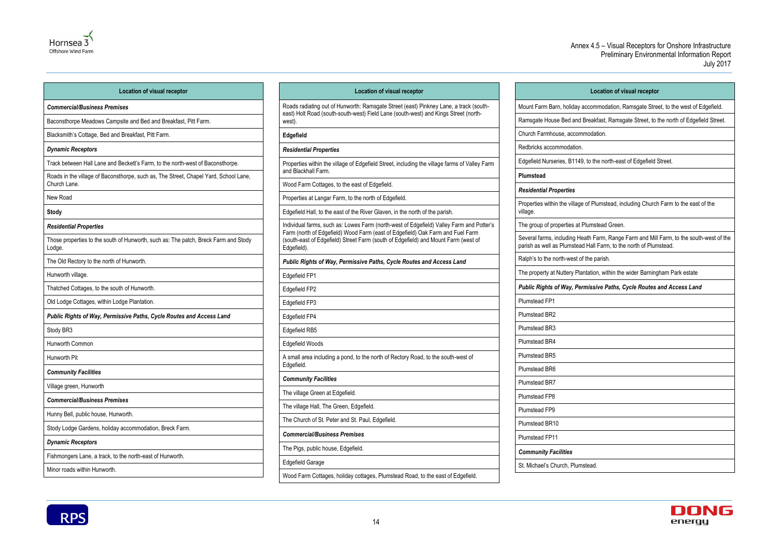

Minor roads within Hunworth.

# **Location of visual receptor** commodation, Ramsgate Street, to the west of Edgefield. reakfast, Ramsgate Street, to the north of Edgefield Street. odation. to the north-east of Edgefield Street. of Plumstead, including Church Farm to the east of the umstead Green. th Farm, Range Farm and Mill Farm, to the south-west of the Hall Farm, to the north of Plumstead. he parish. ation, within the wider Barningham Park estate *Public Rights of Way, Permissive Paths, Cycle Routes and Access Land* ead.



| <b>Location of visual receptor</b>                                                                   | Location of visual receptor                                                                                                                                                |
|------------------------------------------------------------------------------------------------------|----------------------------------------------------------------------------------------------------------------------------------------------------------------------------|
| <b>Commercial/Business Premises</b>                                                                  | Roads radiating out of Hunworth: Ramsgate Street (east) Pinkney Lane, a track (south-                                                                                      |
| Baconsthorpe Meadows Campsite and Bed and Breakfast, Pitt Farm.                                      | east) Holt Road (south-south-west) Field Lane (south-west) and Kings Street (north-<br>west).                                                                              |
| Blacksmith's Cottage, Bed and Breakfast, Pitt Farm.                                                  | Edgefield                                                                                                                                                                  |
| <b>Dynamic Receptors</b>                                                                             | <b>Residential Properties</b>                                                                                                                                              |
| Track between Hall Lane and Beckett's Farm, to the north-west of Baconsthorpe.                       | Properties within the village of Edgefield Street, including the village farms of Valley Farm                                                                              |
| Roads in the village of Baconsthorpe, such as, The Street, Chapel Yard, School Lane,<br>Church Lane. | and Blackhall Farm.<br>Wood Farm Cottages, to the east of Edgefield.                                                                                                       |
| New Road                                                                                             | Properties at Langar Farm, to the north of Edgefield.                                                                                                                      |
| <b>Stody</b>                                                                                         | Edgefield Hall, to the east of the River Glaven, in the north of the parish.                                                                                               |
| <b>Residential Properties</b>                                                                        | Individual farms, such as: Lowes Farm (north-west of Edgefield) Valley Farm and Potter's<br>Farm (north of Edgefield) Wood Farm (east of Edgefield) Oak Farm and Fuel Farm |
| Those properties to the south of Hunworth, such as: The patch, Breck Farm and Stody<br>Lodge.        | (south-east of Edgefield) Street Farm (south of Edgefield) and Mount Farm (west of<br>Edgefield).                                                                          |
| The Old Rectory to the north of Hunworth.                                                            | Public Rights of Way, Permissive Paths, Cycle Routes and Access Land                                                                                                       |
| Hunworth village.                                                                                    | Edgefield FP1                                                                                                                                                              |
| Thatched Cottages, to the south of Hunworth.                                                         | Edgefield FP2                                                                                                                                                              |
| Old Lodge Cottages, within Lodge Plantation.                                                         | Edgefield FP3                                                                                                                                                              |
| Public Rights of Way, Permissive Paths, Cycle Routes and Access Land                                 | Edgefield FP4                                                                                                                                                              |
| Stody BR3                                                                                            | Edgefield RB5                                                                                                                                                              |
| Hunworth Common                                                                                      | <b>Edgefield Woods</b>                                                                                                                                                     |
| Hunworth Pit                                                                                         | A small area including a pond, to the north of Rectory Road, to the south-west of                                                                                          |
| <b>Community Facilities</b>                                                                          | Edgefield.                                                                                                                                                                 |
| Village green, Hunworth                                                                              | <b>Community Facilities</b>                                                                                                                                                |
| <b>Commercial/Business Premises</b>                                                                  | The village Green at Edgefield.                                                                                                                                            |
| Hunny Bell, public house, Hunworth.                                                                  | The village Hall, The Green, Edgefield.                                                                                                                                    |
| Stody Lodge Gardens, holiday accommodation, Breck Farm.                                              | The Church of St. Peter and St. Paul, Edgefield.                                                                                                                           |
| <b>Dynamic Receptors</b>                                                                             | <b>Commercial/Business Premises</b>                                                                                                                                        |
| Fishmongers Lane, a track, to the north-east of Hunworth.                                            | The Pigs, public house, Edgefield.                                                                                                                                         |
|                                                                                                      | <b>Edgefield Garage</b>                                                                                                                                                    |

Wood Farm Cottages, holiday cottages, Plumstead Road, to the east of Edgefield.

| Mount Farm Barn, holiday ac                                    |
|----------------------------------------------------------------|
| Ramsgate House Bed and Br                                      |
| Church Farmhouse, accomm                                       |
| Redbricks accommodation.                                       |
| Edgefield Nurseries, B1149, t                                  |
| Plumstead                                                      |
| <b>Residential Properties</b>                                  |
| Properties within the village o<br>village.                    |
| The group of properties at Plu                                 |
| Several farms, including Heat<br>parish as well as Plumstead H |
| Ralph's to the north-west of th                                |
| The property at Nuttery Planta                                 |
| <b>Public Rights of Way, Perm</b>                              |
| <b>Plumstead FP1</b>                                           |
| Plumstead BR2                                                  |
|                                                                |
| <b>Plumstead BR3</b>                                           |
| Plumstead BR4                                                  |
| Plumstead BR5                                                  |
| Plumstead BR6                                                  |
| <b>Plumstead BR7</b>                                           |
| <b>Plumstead FP8</b>                                           |
| Plumstead FP9                                                  |
| Plumstead BR10                                                 |
| <b>Plumstead FP11</b>                                          |
| <b>Community Facilities</b>                                    |
| St. Michael's Church, Plumste                                  |

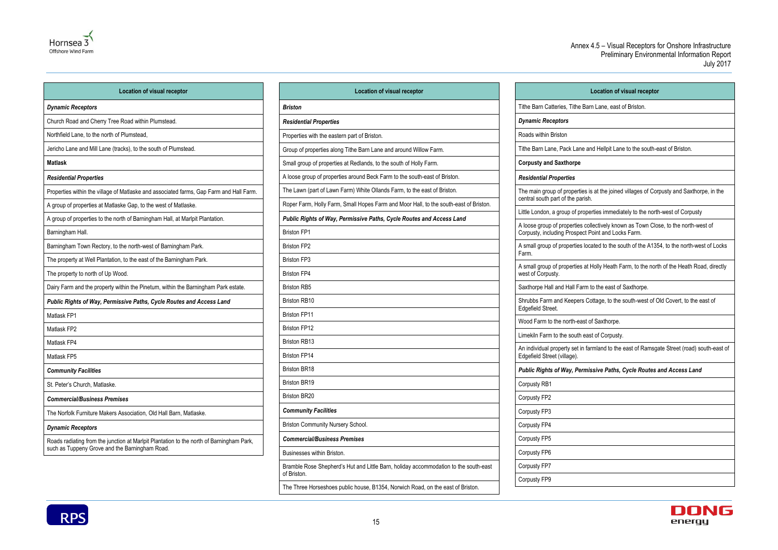

| <b>Location of visual receptor</b>                                                       |                           |
|------------------------------------------------------------------------------------------|---------------------------|
| <b>Dynamic Receptors</b>                                                                 | <b>Briston</b>            |
| Church Road and Cherry Tree Road within Plumstead.                                       | <b>Residential Prope</b>  |
| Northfield Lane, to the north of Plumstead,                                              | Properties with the       |
| Jericho Lane and Mill Lane (tracks), to the south of Plumstead.                          | Group of properties       |
| <b>Matlask</b>                                                                           | Small group of pro        |
| <b>Residential Properties</b>                                                            | A loose group of pr       |
| Properties within the village of Matlaske and associated farms, Gap Farm and Hall Farm.  | The Lawn (part of         |
| A group of properties at Matlaske Gap, to the west of Matlaske.                          | Roper Farm, Holly         |
| A group of properties to the north of Barningham Hall, at Marlpit Plantation.            | <b>Public Rights of I</b> |
| Barningham Hall.                                                                         | <b>Briston FP1</b>        |
| Barningham Town Rectory, to the north-west of Barningham Park.                           | <b>Briston FP2</b>        |
| The property at Well Plantation, to the east of the Barningham Park.                     | <b>Briston FP3</b>        |
| The property to north of Up Wood.                                                        | <b>Briston FP4</b>        |
| Dairy Farm and the property within the Pinetum, within the Barningham Park estate.       | <b>Briston RB5</b>        |
| Public Rights of Way, Permissive Paths, Cycle Routes and Access Land                     | <b>Briston RB10</b>       |
| Matlask FP1                                                                              | <b>Briston FP11</b>       |
| Matlask FP2                                                                              | <b>Briston FP12</b>       |
| Matlask FP4                                                                              | <b>Briston RB13</b>       |
| Matlask FP5                                                                              | <b>Briston FP14</b>       |
| <b>Community Facilities</b>                                                              | Briston BR18              |
| St. Peter's Church, Matlaske.                                                            | Briston BR19              |
| <b>Commercial/Business Premises</b>                                                      | <b>Briston BR20</b>       |
| The Norfolk Furniture Makers Association, Old Hall Barn, Matlaske.                       | <b>Community Facil</b>    |
| <b>Dynamic Receptors</b>                                                                 | <b>Briston Community</b>  |
| Roads radiating from the junction at Marlpit Plantation to the north of Barningham Park, | <b>Commercial/Busi</b>    |
| such as Tuppeny Grove and the Barningham Road.                                           | Businesses within         |
|                                                                                          |                           |

| <b>Location of visual receptor</b>                                                    |                                                             |
|---------------------------------------------------------------------------------------|-------------------------------------------------------------|
| <b>Briston</b>                                                                        | Tithe Barn Catteries, Tithe                                 |
| <b>Residential Properties</b>                                                         | <b>Dynamic Receptors</b>                                    |
| Properties with the eastern part of Briston.                                          | Roads within Briston                                        |
| Group of properties along Tithe Barn Lane and around Willow Farm.                     | Tithe Barn Lane, Pack Lan                                   |
| Small group of properties at Redlands, to the south of Holly Farm.                    | <b>Corpusty and Saxthorpe</b>                               |
| A loose group of properties around Beck Farm to the south-east of Briston.            | <b>Residential Properties</b>                               |
| The Lawn (part of Lawn Farm) White Ollands Farm, to the east of Briston.              | The main group of properti                                  |
| Roper Farm, Holly Farm, Small Hopes Farm and Moor Hall, to the south-east of Briston. | central south part of the pa                                |
| Public Rights of Way, Permissive Paths, Cycle Routes and Access Land                  | Little London, a group of pr                                |
| <b>Briston FP1</b>                                                                    | A loose group of properties<br>Corpusty, including Prospe   |
| <b>Briston FP2</b>                                                                    | A small group of properties                                 |
| <b>Briston FP3</b>                                                                    | Farm.                                                       |
| <b>Briston FP4</b>                                                                    | A small group of properties<br>west of Corpusty.            |
| <b>Briston RB5</b>                                                                    | Saxthorpe Hall and Hall Fa                                  |
| <b>Briston RB10</b>                                                                   | Shrubbs Farm and Keeper                                     |
| <b>Briston FP11</b>                                                                   | Edgefield Street.                                           |
| <b>Briston FP12</b>                                                                   | Wood Farm to the north-ea                                   |
| <b>Briston RB13</b>                                                                   | Limekiln Farm to the south                                  |
| <b>Briston FP14</b>                                                                   | An individual property set i<br>Edgefield Street (village). |
| <b>Briston BR18</b>                                                                   | <b>Public Rights of Way, Pe.</b>                            |
| <b>Briston BR19</b>                                                                   | Corpusty RB1                                                |
| <b>Briston BR20</b>                                                                   | Corpusty FP2                                                |
| <b>Community Facilities</b>                                                           | Corpusty FP3                                                |
| Briston Community Nursery School.                                                     | Corpusty FP4                                                |
| <b>Commercial/Business Premises</b>                                                   | Corpusty FP5                                                |
| Businesses within Briston.                                                            | Corpusty FP6                                                |
| Bramble Rose Shepherd's Hut and Little Barn, holiday accommodation to the south-east  | Corpusty FP7                                                |
| of Briston.                                                                           | Corpusty FP9                                                |
| The Three Horseshoes public house, B1354, Norwich Road, on the east of Briston.       |                                                             |

## **Location of visual receptor** ithe Barn Catteries, Tithe Barn Lane, east of Briston. ithe Barn Lane, Pack Lane and Hellpit Lane to the south-east of Briston. he main group of properties is at the joined villages of Corpusty and Saxthorpe, in the entral south part of the parish. ttle London, a group of properties immediately to the north-west of Corpusty loose group of properties collectively known as Town Close, to the north-west of orpusty, including Prospect Point and Locks Farm. small group of properties located to the south of the A1354, to the north-west of Locks small group of properties at Holly Heath Farm, to the north of the Heath Road, directly axthorpe Hall and Hall Farm to the east of Saxthorpe. hrubbs Farm and Keepers Cottage, to the south-west of Old Covert, to the east of Wood Farm to the north-east of Saxthorpe. mekiln Farm to the south east of Corpusty. n individual property set in farmland to the east of Ramsgate Street (road) south-east of *Public Rights of Way, Permissive Paths, Cycle Routes and Access Land*

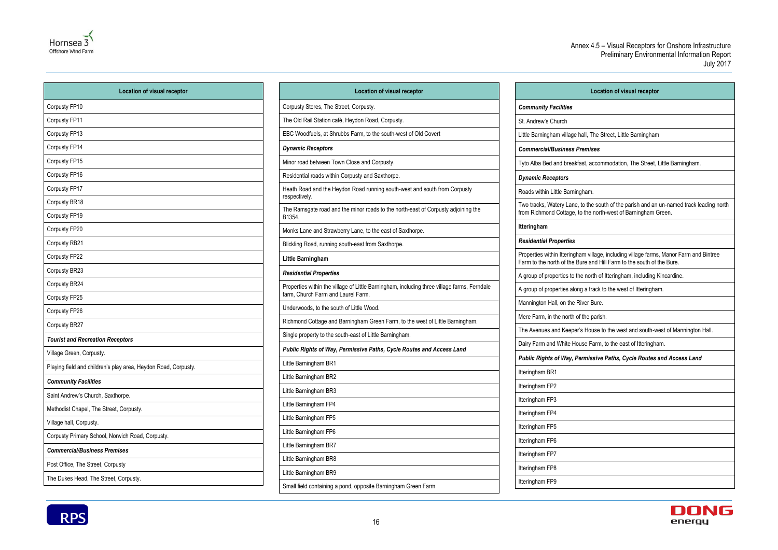

| <b>Location of visual receptor</b>                             |  |
|----------------------------------------------------------------|--|
| Corpusty FP10                                                  |  |
| Corpusty FP11                                                  |  |
| Corpusty FP13                                                  |  |
| Corpusty FP14                                                  |  |
| Corpusty FP15                                                  |  |
| Corpusty FP16                                                  |  |
| Corpusty FP17                                                  |  |
| Corpusty BR18                                                  |  |
| Corpusty FP19                                                  |  |
| Corpusty FP20                                                  |  |
| Corpusty RB21                                                  |  |
| Corpusty FP22                                                  |  |
| Corpusty BR23                                                  |  |
| Corpusty BR24                                                  |  |
| Corpusty FP25                                                  |  |
| Corpusty FP26                                                  |  |
| Corpusty BR27                                                  |  |
| <b>Tourist and Recreation Receptors</b>                        |  |
| Village Green, Corpusty.                                       |  |
| Playing field and children's play area, Heydon Road, Corpusty. |  |
| <b>Community Facilities</b>                                    |  |
| Saint Andrew's Church, Saxthorpe.                              |  |
| Methodist Chapel, The Street, Corpusty.                        |  |
| Village hall, Corpusty.                                        |  |
| Corpusty Primary School, Norwich Road, Corpusty.               |  |
| <b>Commercial/Business Premises</b>                            |  |
| Post Office, The Street, Corpusty                              |  |
| The Dukes Head, The Street, Corpusty.                          |  |

| <b>Location of visual receptor</b>                                                                                                |
|-----------------------------------------------------------------------------------------------------------------------------------|
| Corpusty Stores, The Street, Corpusty.                                                                                            |
| The Old Rail Station café, Heydon Road, Corpusty.                                                                                 |
| EBC Woodfuels, at Shrubbs Farm, to the south-west of Old Covert                                                                   |
| <b>Dynamic Receptors</b>                                                                                                          |
| Minor road between Town Close and Corpusty.                                                                                       |
| Residential roads within Corpusty and Saxthorpe.                                                                                  |
| Heath Road and the Heydon Road running south-west and south from Corpusty<br>respectively.                                        |
| The Ramsgate road and the minor roads to the north-east of Corpusty adjoining the<br>B1354.                                       |
| Monks Lane and Strawberry Lane, to the east of Saxthorpe.                                                                         |
| Blickling Road, running south-east from Saxthorpe.                                                                                |
| Little Barningham                                                                                                                 |
| <b>Residential Properties</b>                                                                                                     |
| Properties within the village of Little Barningham, including three village farms, Ferndale<br>farm, Church Farm and Laurel Farm. |
| Underwoods, to the south of Little Wood.                                                                                          |
| Richmond Cottage and Barningham Green Farm, to the west of Little Barningham.                                                     |
| Single property to the south-east of Little Barningham.                                                                           |
| Public Rights of Way, Permissive Paths, Cycle Routes and Access Land                                                              |
| Little Barningham BR1                                                                                                             |
| Little Barningham BR2                                                                                                             |
| Little Barningham BR3                                                                                                             |
| Little Barningham FP4                                                                                                             |
| Little Barningham FP5                                                                                                             |
| Little Barningham FP6                                                                                                             |
| Little Barningham BR7                                                                                                             |
| Little Barningham BR8                                                                                                             |
| Little Barningham BR9                                                                                                             |
| Small field containing a pond, opposite Barningham Green Farm                                                                     |



| <b>Location of visual receptor</b>                                                                                                                              |
|-----------------------------------------------------------------------------------------------------------------------------------------------------------------|
| <b>Community Facilities</b>                                                                                                                                     |
| St. Andrew's Church                                                                                                                                             |
| Little Barningham village hall, The Street, Little Barningham                                                                                                   |
| <b>Commercial/Business Premises</b>                                                                                                                             |
| Tyto Alba Bed and breakfast, accommodation, The Street, Little Barningham.                                                                                      |
| <b>Dynamic Receptors</b>                                                                                                                                        |
| Roads within Little Barningham.                                                                                                                                 |
| Two tracks, Watery Lane, to the south of the parish and an un-named track leading north<br>from Richmond Cottage, to the north-west of Barningham Green.        |
| <b>Itteringham</b>                                                                                                                                              |
| <b>Residential Properties</b>                                                                                                                                   |
| Properties within Itteringham village, including village farms, Manor Farm and Bintree<br>Farm to the north of the Bure and Hill Farm to the south of the Bure. |
| A group of properties to the north of Itteringham, including Kincardine.                                                                                        |
| A group of properties along a track to the west of Itteringham.                                                                                                 |
| Mannington Hall, on the River Bure.                                                                                                                             |
| Mere Farm, in the north of the parish.                                                                                                                          |
| The Avenues and Keeper's House to the west and south-west of Mannington Hall.                                                                                   |
| Dairy Farm and White House Farm, to the east of Itteringham.                                                                                                    |
| Public Rights of Way, Permissive Paths, Cycle Routes and Access Land                                                                                            |
| Itteringham BR1                                                                                                                                                 |
| Itteringham FP2                                                                                                                                                 |
| Itteringham FP3                                                                                                                                                 |
| Itteringham FP4                                                                                                                                                 |
| Itteringham FP5                                                                                                                                                 |
| Itteringham FP6                                                                                                                                                 |
| Itteringham FP7                                                                                                                                                 |
| Itteringham FP8                                                                                                                                                 |
| Itteringham FP9                                                                                                                                                 |
|                                                                                                                                                                 |



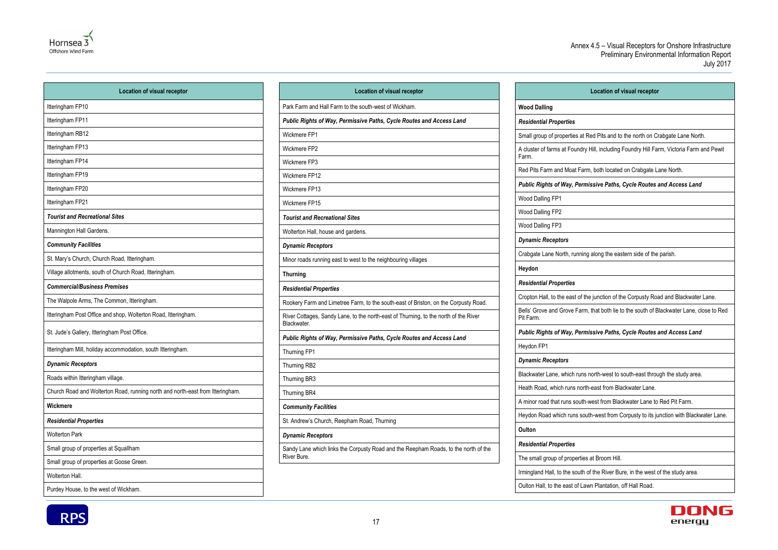

**RPS** 

#### Annex 4.5 – Visual Receptors for Onshore Infrastructure Preliminary Environmental Information Report July 2017

17

| <b>Location of visual receptor</b>                                             |  |
|--------------------------------------------------------------------------------|--|
| Itteringham FP10                                                               |  |
| Itteringham FP11                                                               |  |
| Itteringham RB12                                                               |  |
| Itteringham FP13                                                               |  |
| Itteringham FP14                                                               |  |
| Itteringham FP19                                                               |  |
| Itteringham FP20                                                               |  |
| Itteringham FP21                                                               |  |
| <b>Tourist and Recreational Sites</b>                                          |  |
| Mannington Hall Gardens.                                                       |  |
| <b>Community Facilities</b>                                                    |  |
| St. Mary's Church, Church Road, Itteringham.                                   |  |
| Village allotments, south of Church Road, Itteringham.                         |  |
| <b>Commercial/Business Premises</b>                                            |  |
| The Walpole Arms, The Common, Itteringham.                                     |  |
| Itteringham Post Office and shop, Wolterton Road, Itteringham.                 |  |
| St. Jude's Gallery, Itteringham Post Office.                                   |  |
| Itteringham Mill, holiday accommodation, south Itteringham.                    |  |
| <b>Dynamic Receptors</b>                                                       |  |
| Roads within Itteringham village.                                              |  |
| Church Road and Wolterton Road, running north and north-east from Itteringham. |  |
| Wickmere                                                                       |  |
| <b>Residential Properties</b>                                                  |  |
| <b>Wolterton Park</b>                                                          |  |
| Small group of properties at Squallham                                         |  |
| Small group of properties at Goose Green.                                      |  |
| Wolterton Hall.                                                                |  |
| Purdey House, to the west of Wickham.                                          |  |

| <b>Location of visual receptor</b>                                                                  |  |
|-----------------------------------------------------------------------------------------------------|--|
| Park Farm and Hall Farm to the south-west of Wickham.                                               |  |
| Public Rights of Way, Permissive Paths, Cycle Routes and Access Land                                |  |
| Wickmere FP1                                                                                        |  |
| Wickmere FP2                                                                                        |  |
| Wickmere FP3                                                                                        |  |
| Wickmere FP12                                                                                       |  |
| Wickmere FP13                                                                                       |  |
| Wickmere FP15                                                                                       |  |
| <b>Tourist and Recreational Sites</b>                                                               |  |
| Wolterton Hall, house and gardens.                                                                  |  |
| <b>Dynamic Receptors</b>                                                                            |  |
| Minor roads running east to west to the neighbouring villages                                       |  |
| <b>Thurning</b>                                                                                     |  |
| <b>Residential Properties</b>                                                                       |  |
| Rookery Farm and Limetree Farm, to the south-east of Briston, on the Corpusty Road.                 |  |
| River Cottages, Sandy Lane, to the north-east of Thurning, to the north of the River<br>Blackwater. |  |
| Public Rights of Way, Permissive Paths, Cycle Routes and Access Land                                |  |
| Thurning FP1                                                                                        |  |
| Thurning RB2                                                                                        |  |
| Thurning BR3                                                                                        |  |
| Thurning BR4                                                                                        |  |
| <b>Community Facilities</b>                                                                         |  |
| St. Andrew's Church, Reepham Road, Thurning                                                         |  |
| <b>Dynamic Receptors</b>                                                                            |  |
| Sandy Lane which links the Corpusty Road and the Reepham Roads, to the north of the<br>River Bure.  |  |

**Location of visual receptor** Small group of properties at Red Pits and to the north on Crabgate Lane North. A cluster of farms at Foundry Hill, including Foundry Hill Farm, Victoria Farm and Pewit Red Pits Farm and Moat Farm, both located on Crabgate Lane North. *Public Rights of Way, Permissive Paths, Cycle Routes and Access Land* Crabgate Lane North, running along the eastern side of the parish. Cropton Hall, to the east of the junction of the Corpusty Road and Blackwater Lane. Bells' Grove and Grove Farm, that both lie to the south of Blackwater Lane, close to Red *Public Rights of Way, Permissive Paths, Cycle Routes and Access Land* Blackwater Lane, which runs north-west to south-east through the study area. A minor road that runs south-west from Blackwater Lane to Red Pit Farm. Heydon Road which runs south-west from Corpusty to its junction with Blackwater Lane. Irmingland Hall, to the south of the River Bure, in the west of the study area.



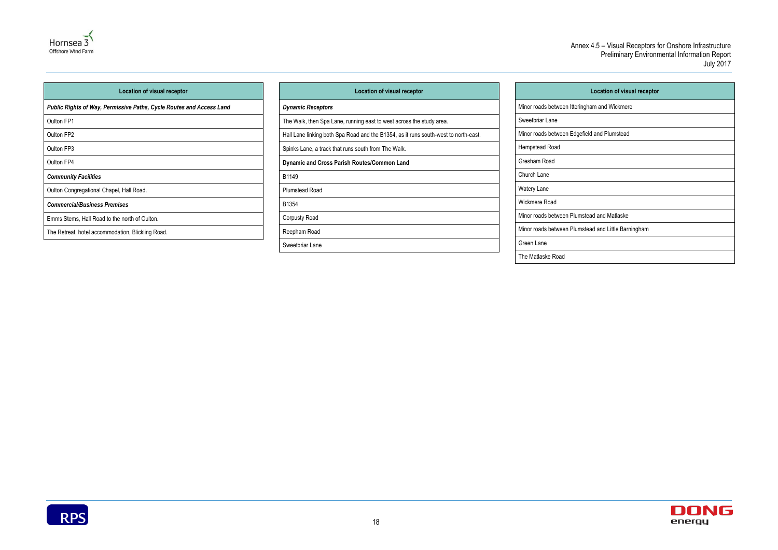

| <b>Location of visual receptor</b>                                   |  |
|----------------------------------------------------------------------|--|
| Public Rights of Way, Permissive Paths, Cycle Routes and Access Land |  |
| Oulton FP1                                                           |  |
| Oulton FP2                                                           |  |
| Oulton FP3                                                           |  |
| Oulton FP4                                                           |  |
| <b>Community Facilities</b>                                          |  |
| Oulton Congregational Chapel, Hall Road.                             |  |
| <b>Commercial/Business Premises</b>                                  |  |
| Emms Stems, Hall Road to the north of Oulton.                        |  |
| The Retreat, hotel accommodation, Blickling Road.                    |  |

| <b>Location of visual receptor</b>                                                  | <b>Location of visual rece</b>                      |
|-------------------------------------------------------------------------------------|-----------------------------------------------------|
| <b>Dynamic Receptors</b>                                                            | Minor roads between Itteringham and Wickmere        |
| The Walk, then Spa Lane, running east to west across the study area.                | Sweetbriar Lane                                     |
| Hall Lane linking both Spa Road and the B1354, as it runs south-west to north-east. | Minor roads between Edgefield and Plumstead         |
| Spinks Lane, a track that runs south from The Walk.                                 | Hempstead Road                                      |
| Dynamic and Cross Parish Routes/Common Land                                         | Gresham Road                                        |
| B1149                                                                               | Church Lane                                         |
| <b>Plumstead Road</b>                                                               | Watery Lane                                         |
| B1354                                                                               | Wickmere Road                                       |
| Corpusty Road                                                                       | Minor roads between Plumstead and Matlaske          |
| Reepham Road                                                                        | Minor roads between Plumstead and Little Barningham |
| Sweetbriar Lane                                                                     | Green Lane                                          |
|                                                                                     | The Matlaske Road                                   |
|                                                                                     |                                                     |



| <b>Location of visual receptor</b> |
|------------------------------------|
| ngham and Wickmere                 |
|                                    |
| efield and Plumstead               |
|                                    |
|                                    |
|                                    |
|                                    |
|                                    |
| nstead and Matlaske                |
| nstead and Little Barningham       |
|                                    |
|                                    |

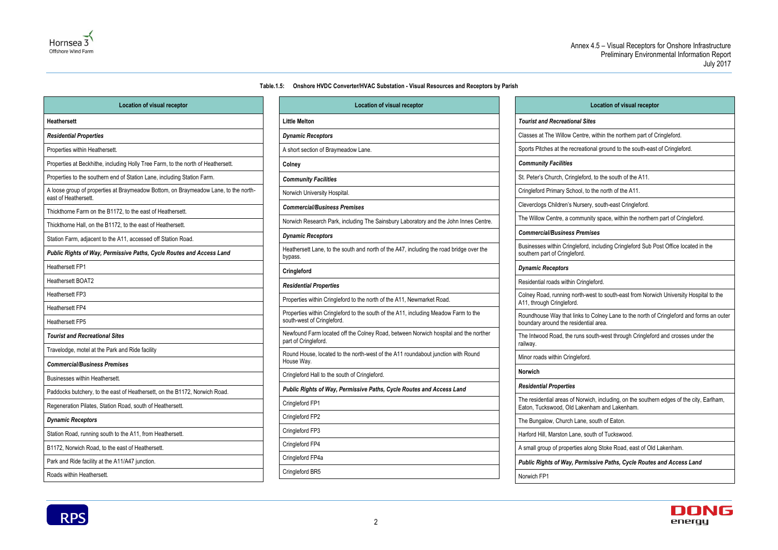#### **Table.1.5: Onshore HVDC Converter/HVAC Substation - Visual Resources and Receptors by Parish**

<span id="page-21-0"></span>

| <b>Location of visual receptor</b>                                                                          |
|-------------------------------------------------------------------------------------------------------------|
| <b>Heathersett</b>                                                                                          |
| <b>Residential Properties</b>                                                                               |
| Properties within Heathersett.                                                                              |
| Properties at Beckhithe, including Holly Tree Farm, to the north of Heathersett.                            |
| Properties to the southern end of Station Lane, including Station Farm.                                     |
| A loose group of properties at Braymeadow Bottom, on Braymeadow Lane, to the north-<br>east of Heathersett. |
| Thickthorne Farm on the B1172, to the east of Heathersett.                                                  |
| Thickthorne Hall, on the B1172, to the east of Heathersett.                                                 |
| Station Farm, adjacent to the A11, accessed off Station Road.                                               |
| Public Rights of Way, Permissive Paths, Cycle Routes and Access Land                                        |
| Heathersett FP1                                                                                             |
| Heathersett BOAT2                                                                                           |
| Heathersett FP3                                                                                             |
| <b>Heathersett FP4</b>                                                                                      |
| Heathersett FP5                                                                                             |
| <b>Tourist and Recreational Sites</b>                                                                       |
| Travelodge, motel at the Park and Ride facility                                                             |
| <b>Commercial/Business Premises</b>                                                                         |
| Businesses within Heathersett.                                                                              |
| Paddocks butchery, to the east of Heathersett, on the B1172, Norwich Road.                                  |
| Regeneration Pilates, Station Road, south of Heathersett.                                                   |
| <b>Dynamic Receptors</b>                                                                                    |
| Station Road, running south to the A11, from Heathersett.                                                   |
| B1172, Norwich Road, to the east of Heathersett.                                                            |
| Park and Ride facility at the A11/A47 junction.                                                             |
| Roads within Heathersett.                                                                                   |

| <b>Location of visual receptor</b>                                                                                |
|-------------------------------------------------------------------------------------------------------------------|
| <b>Little Melton</b>                                                                                              |
| <b>Dynamic Receptors</b>                                                                                          |
| A short section of Braymeadow Lane.                                                                               |
| Colney                                                                                                            |
| <b>Community Facilities</b>                                                                                       |
| Norwich University Hospital.                                                                                      |
| <b>Commercial/Business Premises</b>                                                                               |
| Norwich Research Park, including The Sainsbury Laboratory and the John Innes Centre.                              |
| <b>Dynamic Receptors</b>                                                                                          |
| Heathersett Lane, to the south and north of the A47, including the road bridge over the<br>bypass.                |
| Cringleford                                                                                                       |
| <b>Residential Properties</b>                                                                                     |
| Properties within Cringleford to the north of the A11, Newmarket Road.                                            |
| Properties within Cringleford to the south of the A11, including Meadow Farm to the<br>south-west of Cringleford. |
| Newfound Farm located off the Colney Road, between Norwich hospital and the norther<br>part of Cringleford.       |
| Round House, located to the north-west of the A11 roundabout junction with Round<br>House Way.                    |
| Cringleford Hall to the south of Cringleford.                                                                     |
| Public Rights of Way, Permissive Paths, Cycle Routes and Access Land                                              |
| Cringleford FP1                                                                                                   |
| Cringleford FP2                                                                                                   |
| Cringleford FP3                                                                                                   |
| Cringleford FP4                                                                                                   |
| Cringleford FP4a                                                                                                  |
| Cringleford BR5                                                                                                   |



#### **Location of visual receptor**

#### *Tourist and Recreational Sites*

The Willow Centre, within the northern part of Cringleford.

hes at the recreational ground to the south-east of Cringleford.

Church, Cringleford, to the south of the A11.

Primary School, to the north of the A11.

Children's Nursery, south-east Cringleford.

Centre, a community space, within the northern part of Cringleford.

within Cringleford, including Cringleford Sub Post Office located in the

d, running north-west to south-east from Norwich University Hospital to the

se Way that links to Colney Lane to the north of Cringleford and forms an outer

d Road, the runs south-west through Cringleford and crosses under the

Itial areas of Norwich, including, on the southern edges of the city, Earlham, swood, Old Lakenham and Lakenham.

Marston Lane, south of Tuckswood.

up of properties along Stoke Road, east of Old Lakenham.

*Public Rights of Way, Permissive Paths, Cycle Routes and Access Land*

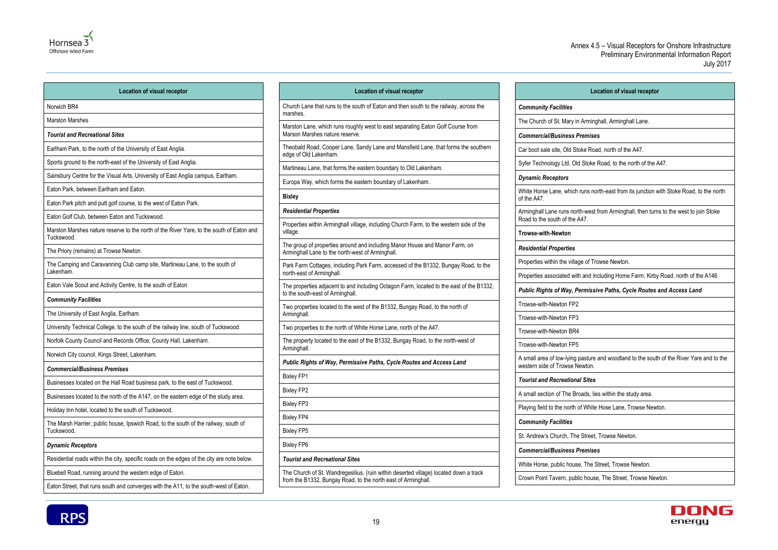



| <b>Location of visual receptor</b>                                                                     | Location of visual receptor                                                                                     |  |
|--------------------------------------------------------------------------------------------------------|-----------------------------------------------------------------------------------------------------------------|--|
| Norwich BR4                                                                                            | Church Lane that runs to the south of Eaton and then south to<br>marshes.                                       |  |
| <b>Marston Marshes</b>                                                                                 |                                                                                                                 |  |
| <b>Tourist and Recreational Sites</b>                                                                  | Marston Lane, which runs roughly west to east separating Eate<br>Marson Marshes nature reserve.                 |  |
| Earlham Park, to the north of the University of East Anglia.                                           | Theobald Road, Cooper Lane, Sandy Lane and Mansfield Lan<br>edge of Old Lakenham.                               |  |
| Sports ground to the north-east of the University of East Anglia.                                      | Martineau Lane, that forms the eastern boundary to Old Laken                                                    |  |
| Sainsbury Centre for the Visual Arts, University of East Anglia campus, Earlham.                       | Europa Way, which forms the eastern boundary of Lakenham.                                                       |  |
| Eaton Park, between Earlham and Eaton.                                                                 |                                                                                                                 |  |
| Eaton Park pitch and putt golf course, to the west of Eaton Park.                                      | <b>Bixley</b>                                                                                                   |  |
| Eaton Golf Club, between Eaton and Tuckswood.                                                          | <b>Residential Properties</b>                                                                                   |  |
| Marston Marshes nature reserve to the north of the River Yare, to the south of Eaton and<br>Tuckswood. | Properties within Arminghall village, including Church Farm, to<br>village.                                     |  |
| The Priory (remains) at Trowse Newton.                                                                 | The group of properties around and including Manor House an<br>Arminghall Lane to the north-west of Arminghall. |  |
| The Camping and Caravanning Club camp site, Martineau Lane, to the south of<br>Lakenham.               | Park Farm Cottages, including Park Farm, accessed of the B1<br>north-east of Arminghall.                        |  |
| Eaton Vale Scout and Activity Centre, to the south of Eaton                                            | The properties adjacent to and including Octagon Farm, locate<br>to the south-east of Arminghall.               |  |
| <b>Community Facilities</b>                                                                            | Two properties located to the west of the B1332, Bungay Road                                                    |  |
| The University of East Anglia, Earlham.                                                                | Arminghall.                                                                                                     |  |
| University Technical College, to the south of the railway line, south of Tuckswood.                    | Two properties to the north of White Horse Lane, north of the /                                                 |  |
| Norfolk County Council and Records Office, County Hall, Lakenham.                                      | The property located to the east of the B1332, Bungay Road, t                                                   |  |
| Norwich City council, Kings Street, Lakenham.                                                          | Arminghall.                                                                                                     |  |
| <b>Commercial/Business Premises</b>                                                                    | Public Rights of Way, Permissive Paths, Cycle Routes and                                                        |  |
| Businesses located on the Hall Road business park, to the east of Tuckswood.                           | <b>Bixley FP1</b>                                                                                               |  |
| Businesses located to the north of the A147, on the eastern edge of the study area.                    | <b>Bixley FP2</b>                                                                                               |  |
| Holiday Inn hotel, located to the south of Tuckswood.                                                  | <b>Bixley FP3</b>                                                                                               |  |
| The Marsh Harrier, public house, Ipswich Road, to the south of the railway, south of                   | <b>Bixley FP4</b>                                                                                               |  |
| Tuckswood,                                                                                             | <b>Bixley FP5</b>                                                                                               |  |
| <b>Dynamic Receptors</b>                                                                               | <b>Bixley FP6</b>                                                                                               |  |
| Residential roads within the city, specific roads on the edges of the city are note below.             | <b>Tourist and Recreational Sites</b>                                                                           |  |
| Bluebell Road, running around the western edge of Eaton.                                               | The Church of St. Wandregesilius, (ruin within deserted village                                                 |  |
| Eaton Street, that runs south and converges with the A11, to the south-west of Eaton.                  | from the B1332, Bungay Road, to the north east of Arminghall.                                                   |  |

| <b>Location of visual receptor</b>                                                                                              |  |
|---------------------------------------------------------------------------------------------------------------------------------|--|
| Church Lane that runs to the south of Eaton and then south to the railway, across the<br>marshes.                               |  |
| Marston Lane, which runs roughly west to east separating Eaton Golf Course from<br>Marson Marshes nature reserve.               |  |
| Theobald Road, Cooper Lane, Sandy Lane and Mansfield Lane, that forms the southern<br>edge of Old Lakenham.                     |  |
| Martineau Lane, that forms the eastern boundary to Old Lakenham.                                                                |  |
| Europa Way, which forms the eastern boundary of Lakenham.                                                                       |  |
| <b>Bixley</b>                                                                                                                   |  |
| <b>Residential Properties</b>                                                                                                   |  |
| Properties within Arminghall village, including Church Farm, to the western side of the<br>village.                             |  |
| The group of properties around and including Manor House and Manor Farm, on<br>Arminghall Lane to the north-west of Arminghall. |  |
| Park Farm Cottages, including Park Farm, accessed of the B1332, Bungay Road, to the<br>north-east of Arminghall.                |  |
| The properties adjacent to and including Octagon Farm, located to the east of the B1332,<br>to the south-east of Arminghall.    |  |
| Two properties located to the west of the B1332, Bungay Road, to the north of<br>Arminghall.                                    |  |
| Two properties to the north of White Horse Lane, north of the A47.                                                              |  |
| The property located to the east of the B1332, Bungay Road, to the north-west of<br>Arminghall.                                 |  |
| Public Rights of Way, Permissive Paths, Cycle Routes and Access Land                                                            |  |
| <b>Bixley FP1</b>                                                                                                               |  |
| <b>Bixley FP2</b>                                                                                                               |  |
| <b>Bixley FP3</b>                                                                                                               |  |
| <b>Bixley FP4</b>                                                                                                               |  |
| <b>Bixley FP5</b>                                                                                                               |  |
| <b>Bixley FP6</b>                                                                                                               |  |
| <b>Tourist and Recreational Sites</b>                                                                                           |  |
| The Church of St. Wandregesilius, (ruin within deserted village) located down a track                                           |  |

| <b>Location of visual receptor</b>                                                                                         |
|----------------------------------------------------------------------------------------------------------------------------|
| <b>Community Facilities</b>                                                                                                |
| The Church of St. Mary in Arminghall, Arminghall Lane.                                                                     |
| <b>Commercial/Business Premises</b>                                                                                        |
| Car boot sale site, Old Stoke Road, north of the A47.                                                                      |
| Syfer Technology Ltd, Old Stoke Road, to the north of the A47.                                                             |
| <b>Dynamic Receptors</b>                                                                                                   |
| White Horse Lane, which runs north-east from its junction with Stoke Road, to the north<br>of the A47.                     |
| Arminghall Lane runs north-west from Arminghall, then turns to the west to join Stoke<br>Road to the south of the A47.     |
| <b>Trowse-with-Newton</b>                                                                                                  |
| <b>Residential Properties</b>                                                                                              |
| Properties within the village of Trowse Newton.                                                                            |
| Properties associated with and including Home Farm, Kirby Road, north of the A146                                          |
| Public Rights of Way, Permissive Paths, Cycle Routes and Access Land                                                       |
| Trowse-with-Newton FP2                                                                                                     |
| Trowse-with-Newton FP3                                                                                                     |
| Trowse-with-Newton BR4                                                                                                     |
| Trowse-with-Newton FP5                                                                                                     |
| A small area of low-lying pasture and woodland to the south of the River Yare and to the<br>western side of Trowse Newton. |
| <b>Tourist and Recreational Sites</b>                                                                                      |
| A small section of The Broads, lies within the study area.                                                                 |
| Playing field to the north of White Hose Lane, Trowse Newton.                                                              |
| <b>Community Facilities</b>                                                                                                |
| St. Andrew's Church, The Street, Trowse Newton.                                                                            |
| <b>Commercial/Business Premises</b>                                                                                        |
| White Horse, public house, The Street, Trowse Newton.                                                                      |
| Crown Point Tavern, public house, The Street, Trowse Newton.                                                               |
|                                                                                                                            |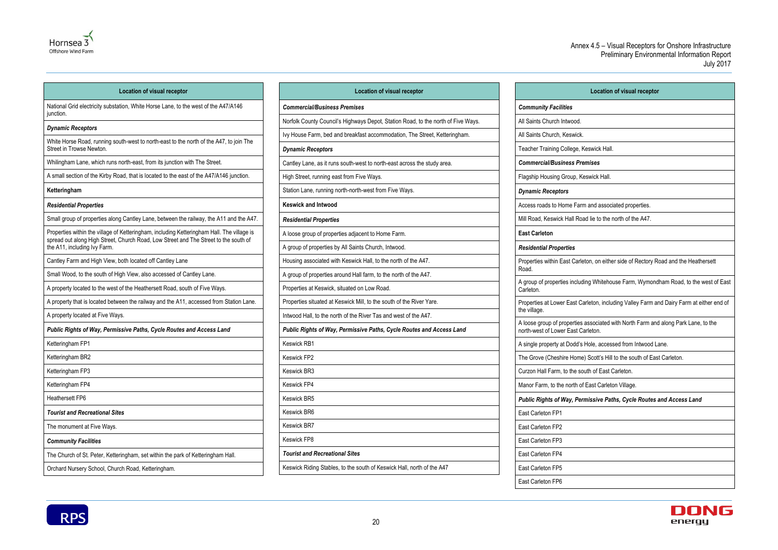

National Grid electricity substation, White Horse Lane, to the west of the A47/A146 junction.



#### **Location of visual receptor**

#### *Dynamic Receptors*

White Horse Road, running south-west to north-east to the north of the A47, to join The Street in Trowse Newton.

Whilingham Lane, which runs north-east, from its junction with The Street.

A small section of the Kirby Road, that is located to the east of the A47/A146 junction.

#### **Ketteringham**

#### *Residential Properties*

Small group of properties along Cantley Lane, between the railway, the A11 and the A47.

Properties within the village of Ketteringham, including Ketteringham Hall. The village is spread out along High Street, Church Road, Low Street and The Street to the south of the A11, including Ivy Farm.

Cantley Farm and High View, both located off Cantley Lane

Small Wood, to the south of High View, also accessed of Cantley Lane.

A property located to the west of the Heathersett Road, south of Five Ways.

A property that is located between the railway and the A11, accessed from Station Lane.

A property located at Five Ways.

*Public Rights of Way, Permissive Paths, Cycle Routes and Access Land*

Ketteringham FP1

Ketteringham BR2

Ketteringham FP3

Ketteringham FP4

Heathersett FP6

*Tourist and Recreational Sites*

The monument at Five Ways.

*Community Facilities*

The Church of St. Peter, Ketteringham, set within the park of Ketteringham Hall.

Orchard Nursery School, Church Road, Ketteringham.

| <b>Location of visual receptor</b>                                                |
|-----------------------------------------------------------------------------------|
| <b>Commercial/Business Premises</b>                                               |
| Norfolk County Council's Highways Depot, Station Road, to the north of Five Ways. |
| Ivy House Farm, bed and breakfast accommodation, The Street, Ketteringham.        |
| <b>Dynamic Receptors</b>                                                          |
| Cantley Lane, as it runs south-west to north-east across the study area.          |
| High Street, running east from Five Ways.                                         |
| Station Lane, running north-north-west from Five Ways.                            |
| <b>Keswick and Intwood</b>                                                        |
| <b>Residential Properties</b>                                                     |
| A loose group of properties adjacent to Home Farm.                                |
| A group of properties by All Saints Church, Intwood.                              |
| Housing associated with Keswick Hall, to the north of the A47.                    |
| A group of properties around Hall farm, to the north of the A47.                  |
| Properties at Keswick, situated on Low Road.                                      |
| Properties situated at Keswick Mill, to the south of the River Yare.              |
| Intwood Hall, to the north of the River Tas and west of the A47.                  |
| Public Rights of Way, Permissive Paths, Cycle Routes and Access Land              |
| <b>Keswick RB1</b>                                                                |
| <b>Keswick FP2</b>                                                                |
| Keswick BR3                                                                       |
| <b>Keswick FP4</b>                                                                |
| <b>Keswick BR5</b>                                                                |
| <b>Keswick BR6</b>                                                                |
| <b>Keswick BR7</b>                                                                |

Keswick FP8

*Tourist and Recreational Sites*

Keswick Riding Stables, to the south of Keswick Hall, north of the A47

|                      | <b>Location of visual receptor</b>                                                                                       |
|----------------------|--------------------------------------------------------------------------------------------------------------------------|
|                      | <b>Community Facilities</b>                                                                                              |
|                      | All Saints Church Intwood.                                                                                               |
|                      | All Saints Church, Keswick.                                                                                              |
|                      | Teacher Training College, Keswick Hall.                                                                                  |
|                      | <b>Commercial/Business Premises</b>                                                                                      |
|                      | Flagship Housing Group, Keswick Hall.                                                                                    |
|                      | <b>Dynamic Receptors</b>                                                                                                 |
|                      | Access roads to Home Farm and associated properties.                                                                     |
|                      | Mill Road, Keswick Hall Road lie to the north of the A47.                                                                |
| <b>East Carleton</b> |                                                                                                                          |
|                      | <b>Residential Properties</b>                                                                                            |
| Road.                | Properties within East Carleton, on either side of Rectory Road and the Heathersett                                      |
| Carleton.            | A group of properties including Whitehouse Farm, Wymondham Road, to the west of East                                     |
| the village.         | Properties at Lower East Carleton, including Valley Farm and Dairy Farm at either end of                                 |
|                      | A loose group of properties associated with North Farm and along Park Lane, to the<br>north-west of Lower East Carleton. |
|                      | A single property at Dodd's Hole, accessed from Intwood Lane.                                                            |
|                      | The Grove (Cheshire Home) Scott's Hill to the south of East Carleton.                                                    |
|                      | Curzon Hall Farm, to the south of East Carleton.                                                                         |
|                      | Manor Farm, to the north of East Carleton Village.                                                                       |
|                      | Public Rights of Way, Permissive Paths, Cycle Routes and Access Land                                                     |
| East Carleton FP1    |                                                                                                                          |
| East Carleton FP2    |                                                                                                                          |
| East Carleton FP3    |                                                                                                                          |
| East Carleton FP4    |                                                                                                                          |
| East Carleton FP5    |                                                                                                                          |
| East Carleton FP6    |                                                                                                                          |

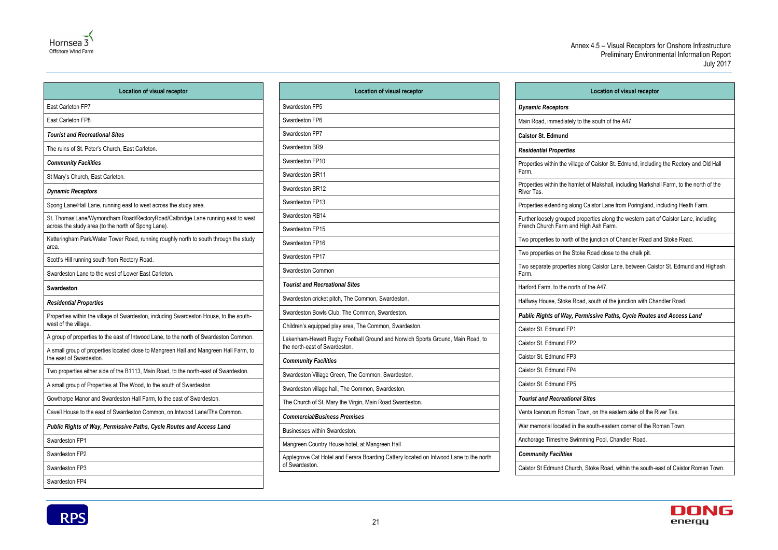

| <b>Location of visual receptor</b>                                                                                                    |  |
|---------------------------------------------------------------------------------------------------------------------------------------|--|
| East Carleton FP7                                                                                                                     |  |
| East Carleton FP8                                                                                                                     |  |
| <b>Tourist and Recreational Sites</b>                                                                                                 |  |
| The ruins of St. Peter's Church, East Carleton.                                                                                       |  |
| <b>Community Facilities</b>                                                                                                           |  |
| St Mary's Church, East Carleton.                                                                                                      |  |
| <b>Dynamic Receptors</b>                                                                                                              |  |
| Spong Lane/Hall Lane, running east to west across the study area.                                                                     |  |
| St. Thomas'Lane/Wymondham Road/RectoryRoad/Catbridge Lane running east to west<br>across the study area (to the north of Spong Lane). |  |
| Ketteringham Park/Water Tower Road, running roughly north to south through the study<br>area.                                         |  |
| Scott's Hill running south from Rectory Road.                                                                                         |  |
| Swardeston Lane to the west of Lower East Carleton.                                                                                   |  |
| <b>Swardeston</b>                                                                                                                     |  |
| <b>Residential Properties</b>                                                                                                         |  |
| Properties within the village of Swardeston, including Swardeston House, to the south-<br>west of the village.                        |  |
| A group of properties to the east of Intwood Lane, to the north of Swardeston Common.                                                 |  |
| A small group of properties located close to Mangreen Hall and Mangreen Hall Farm, to<br>the east of Swardeston.                      |  |
|                                                                                                                                       |  |
| Two properties either side of the B1113, Main Road, to the north-east of Swardeston.                                                  |  |
| A small group of Properties at The Wood, to the south of Swardeston                                                                   |  |
| Gowthorpe Manor and Swardeston Hall Farm, to the east of Swardeston.                                                                  |  |
| Cavell House to the east of Swardeston Common, on Intwood Lane/The Common.                                                            |  |
| Public Rights of Way, Permissive Paths, Cycle Routes and Access Land                                                                  |  |
| Swardeston FP1                                                                                                                        |  |
| Swardeston FP2                                                                                                                        |  |
| Swardeston FP3                                                                                                                        |  |

| <b>Location of visual receptor</b>                                      |
|-------------------------------------------------------------------------|
|                                                                         |
| e south of the A47.                                                     |
|                                                                         |
|                                                                         |
| f Caistor St. Edmund, including the Rectory and Old Hall                |
| of Makshall, including Markshall Farm, to the north of the              |
| aistor Lane from Poringland, including Heath Farm.                      |
| erties along the western part of Caistor Lane, including<br>h Ash Farm. |
| junction of Chandler Road and Stoke Road.                               |
| Road close to the chalk pit.                                            |
| g Caistor Lane, between Caistor St. Edmund and Highash                  |
| the A47.                                                                |
| south of the junction with Chandler Road.                               |
| issive Paths, Cycle Routes and Access Land                              |
|                                                                         |
|                                                                         |
|                                                                         |
|                                                                         |
|                                                                         |
| ites                                                                    |
| n, on the eastern side of the River Tas.                                |
| south-eastern corner of the Roman Town.                                 |
| ing Pool, Chandler Road.                                                |
|                                                                         |
| Stoke Road, within the south-east of Caistor Roman Town.                |



| <b>Location of visual receptor</b>                                                                              |                                              |  |
|-----------------------------------------------------------------------------------------------------------------|----------------------------------------------|--|
| Swardeston FP5                                                                                                  | <b>Dynamic Receptors</b>                     |  |
| Swardeston FP6                                                                                                  | Main Road, immediately to the                |  |
| Swardeston FP7                                                                                                  | <b>Caistor St. Edmund</b>                    |  |
| Swardeston BR9                                                                                                  | <b>Residential Properties</b>                |  |
| Swardeston FP10                                                                                                 | Properties within the village of             |  |
| Swardeston BR11                                                                                                 | Farm.                                        |  |
| Swardeston BR12                                                                                                 | Properties within the hamlet o<br>River Tas. |  |
| Swardeston FP13                                                                                                 | Properties extending along Ca                |  |
| Swardeston RB14                                                                                                 | Further loosely grouped prope                |  |
| Swardeston FP15                                                                                                 | French Church Farm and Higl                  |  |
| Swardeston FP16                                                                                                 | Two properties to north of the               |  |
| Swardeston FP17                                                                                                 | Two properties on the Stoke F                |  |
| Swardeston Common                                                                                               | Two separate properties along<br>Farm.       |  |
| <b>Tourist and Recreational Sites</b>                                                                           | Harford Farm, to the north of                |  |
| Swardeston cricket pitch, The Common, Swardeston.                                                               | Halfway House, Stoke Road,                   |  |
| Swardeston Bowls Club, The Common, Swardeston.                                                                  | <b>Public Rights of Way, Perm.</b>           |  |
| Children's equipped play area, The Common, Swardeston.                                                          | Caistor St. Edmund FP1                       |  |
| Lakenham-Hewett Rugby Football Ground and Norwich Sports Ground, Main Road, to<br>the north-east of Swardeston. | Caistor St. Edmund FP2                       |  |
| <b>Community Facilities</b>                                                                                     | Caistor St. Edmund FP3                       |  |
| Swardeston Village Green, The Common, Swardeston.                                                               | Caistor St. Edmund FP4                       |  |
| Swardeston village hall, The Common, Swardeston.                                                                | Caistor St. Edmund FP5                       |  |
| The Church of St. Mary the Virgin, Main Road Swardeston.                                                        | <b>Tourist and Recreational Si</b>           |  |
| <b>Commercial/Business Premises</b>                                                                             | Venta Icenorum Roman Towr                    |  |
| Businesses within Swardeston.                                                                                   | War memorial located in the s                |  |
| Mangreen Country House hotel, at Mangreen Hall                                                                  | Anchorage Timeshre Swimmi                    |  |
| Applegrove Cat Hotel and Ferara Boarding Cattery located on Intwood Lane to the north<br>of Swardeston.         | <b>Community Facilities</b>                  |  |
|                                                                                                                 | Caistor St Edmund Church, S                  |  |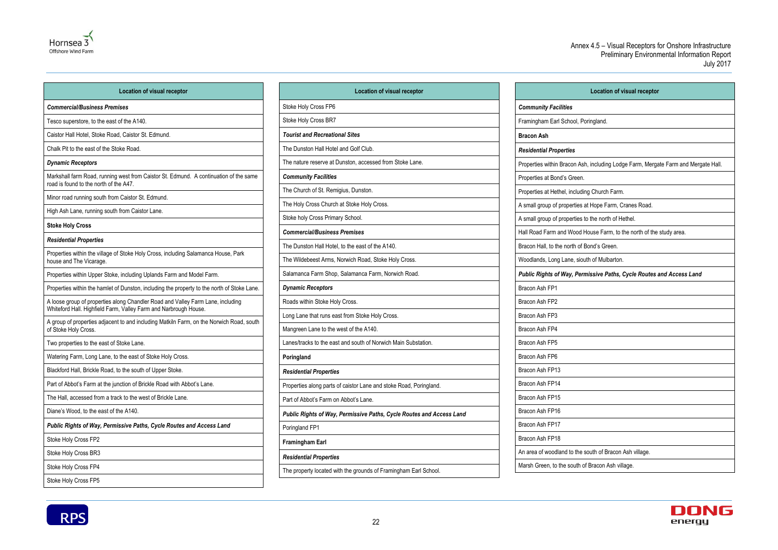| <b>Location of visual receptor</b>                                              |
|---------------------------------------------------------------------------------|
| nmunity Facilities                                                              |
| mingham Earl School, Poringland.                                                |
| con Ash                                                                         |
| idential Properties                                                             |
| perties within Bracon Ash, including Lodge Farm, Mergate Farm and Mergate Hall. |
| perties at Bond's Green.                                                        |
| perties at Hethel, including Church Farm.                                       |
| mall group of properties at Hope Farm, Cranes Road.                             |
| mall group of properties to the north of Hethel.                                |
| Road Farm and Wood House Farm, to the north of the study area.                  |
| con Hall, to the north of Bond's Green.                                         |
| odlands, Long Lane, siouth of Mulbarton.                                        |
| plic Rights of Way, Permissive Paths, Cycle Routes and Access Land              |
| con Ash FP1                                                                     |
| con Ash FP2                                                                     |
| con Ash FP3                                                                     |
| con Ash FP4                                                                     |
| con Ash FP5                                                                     |
| con Ash FP6                                                                     |
| con Ash FP13                                                                    |
| con Ash FP14                                                                    |
| con Ash FP15                                                                    |
| con Ash FP16                                                                    |
| con Ash FP17                                                                    |
| con Ash FP18                                                                    |
| area of woodland to the south of Bracon Ash village.                            |
| sh Green, to the south of Bracon Ash village.                                   |





| <b>Location of visual receptor</b>                                                                                                                  | <b>Location of visua</b>                         |
|-----------------------------------------------------------------------------------------------------------------------------------------------------|--------------------------------------------------|
| <b>Commercial/Business Premises</b>                                                                                                                 | Stoke Holy Cross FP6                             |
| Tesco superstore, to the east of the A140.                                                                                                          | Stoke Holy Cross BR7                             |
| Caistor Hall Hotel, Stoke Road, Caistor St. Edmund.                                                                                                 | <b>Tourist and Recreational Sites</b>            |
| Chalk Pit to the east of the Stoke Road.                                                                                                            | The Dunston Hall Hotel and Golf Club.            |
| <b>Dynamic Receptors</b>                                                                                                                            | The nature reserve at Dunston, accessed from S   |
| Markshall farm Road, running west from Caistor St. Edmund. A continuation of the same<br>road is found to the north of the A47.                     | <b>Community Facilities</b>                      |
| Minor road running south from Caistor St. Edmund.                                                                                                   | The Church of St. Remigius, Dunston.             |
| High Ash Lane, running south from Caistor Lane.                                                                                                     | The Holy Cross Church at Stoke Holy Cross.       |
| <b>Stoke Holy Cross</b>                                                                                                                             | Stoke holy Cross Primary School.                 |
|                                                                                                                                                     | <b>Commercial/Business Premises</b>              |
| <b>Residential Properties</b>                                                                                                                       | The Dunston Hall Hotel, to the east of the A140. |
| Properties within the village of Stoke Holy Cross, including Salamanca House, Park<br>house and The Vicarage.                                       | The Wildebeest Arms, Norwich Road, Stoke Holy    |
| Properties within Upper Stoke, including Uplands Farm and Model Farm.                                                                               | Salamanca Farm Shop, Salamanca Farm, Norwi       |
| Properties within the hamlet of Dunston, including the property to the north of Stoke Lane.                                                         | <b>Dynamic Receptors</b>                         |
| A loose group of properties along Chandler Road and Valley Farm Lane, including<br>Whiteford Hall. Highfield Farm, Valley Farm and Narbrough House. | Roads within Stoke Holy Cross.                   |
| A group of properties adjacent to and including Matkiln Farm, on the Norwich Road, south                                                            | Long Lane that runs east from Stoke Holy Cross.  |
| of Stoke Holy Cross.                                                                                                                                | Mangreen Lane to the west of the A140.           |
| Two properties to the east of Stoke Lane.                                                                                                           | Lanes/tracks to the east and south of Norwich Ma |
| Watering Farm, Long Lane, to the east of Stoke Holy Cross.                                                                                          | Poringland                                       |
| Blackford Hall, Brickle Road, to the south of Upper Stoke.                                                                                          | <b>Residential Properties</b>                    |
| Part of Abbot's Farm at the junction of Brickle Road with Abbot's Lane.                                                                             | Properties along parts of caistor Lane and stoke |
| The Hall, accessed from a track to the west of Brickle Lane.                                                                                        | Part of Abbot's Farm on Abbot's Lane.            |
| Diane's Wood, to the east of the A140.                                                                                                              | Public Rights of Way, Permissive Paths, Cycl     |
| Public Rights of Way, Permissive Paths, Cycle Routes and Access Land                                                                                | Poringland FP1                                   |
| Stoke Holy Cross FP2                                                                                                                                | <b>Framingham Earl</b>                           |
| Stoke Holy Cross BR3                                                                                                                                | <b>Residential Properties</b>                    |
| Stoke Holy Cross FP4                                                                                                                                | The property located with the grounds of Framing |
| Stoke Holy Cross FP5                                                                                                                                |                                                  |

| <b>Location of visual receptor</b>                                   |                                    |
|----------------------------------------------------------------------|------------------------------------|
| Stoke Holy Cross FP6                                                 | <b>Community Facilities</b>        |
| Stoke Holy Cross BR7                                                 | Framingham Earl School, Pori       |
| <b>Tourist and Recreational Sites</b>                                | <b>Bracon Ash</b>                  |
| The Dunston Hall Hotel and Golf Club.                                | <b>Residential Properties</b>      |
| The nature reserve at Dunston, accessed from Stoke Lane.             | Properties within Bracon Ash,      |
| <b>Community Facilities</b>                                          | Properties at Bond's Green.        |
| The Church of St. Remigius, Dunston.                                 | Properties at Hethel, including    |
| The Holy Cross Church at Stoke Holy Cross.                           | A small group of properties at     |
| Stoke holy Cross Primary School.                                     | A small group of properties to     |
| <b>Commercial/Business Premises</b>                                  | Hall Road Farm and Wood Ho         |
| The Dunston Hall Hotel, to the east of the A140.                     | Bracon Hall, to the north of Bo    |
| The Wildebeest Arms, Norwich Road, Stoke Holy Cross.                 | Woodlands, Long Lane, siouth       |
| Salamanca Farm Shop, Salamanca Farm, Norwich Road.                   | <b>Public Rights of Way, Permi</b> |
| <b>Dynamic Receptors</b>                                             | Bracon Ash FP1                     |
| Roads within Stoke Holy Cross.                                       | Bracon Ash FP2                     |
| Long Lane that runs east from Stoke Holy Cross.                      | Bracon Ash FP3                     |
| Mangreen Lane to the west of the A140.                               | Bracon Ash FP4                     |
| Lanes/tracks to the east and south of Norwich Main Substation.       | Bracon Ash FP5                     |
| Poringland                                                           | Bracon Ash FP6                     |
| <b>Residential Properties</b>                                        | Bracon Ash FP13                    |
| Properties along parts of caistor Lane and stoke Road, Poringland.   | Bracon Ash FP14                    |
| Part of Abbot's Farm on Abbot's Lane.                                | Bracon Ash FP15                    |
| Public Rights of Way, Permissive Paths, Cycle Routes and Access Land | Bracon Ash FP16                    |
| Poringland FP1                                                       | Bracon Ash FP17                    |
| <b>Framingham Earl</b>                                               | Bracon Ash FP18                    |
| <b>Residential Properties</b>                                        | An area of woodland to the so      |
| The property located with the grounds of Framingham Earl School.     | Marsh Green, to the south of I     |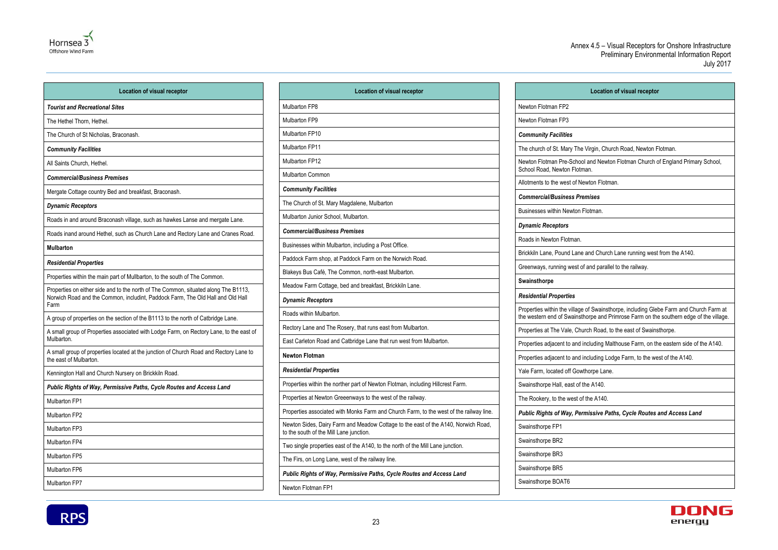

| <b>Location of visual receptor</b>                                                                               | <b>Location of visual receptor</b>                                                                                            |  |
|------------------------------------------------------------------------------------------------------------------|-------------------------------------------------------------------------------------------------------------------------------|--|
| <b>Tourist and Recreational Sites</b>                                                                            | <b>Mulbarton FP8</b>                                                                                                          |  |
| The Hethel Thorn, Hethel.                                                                                        | <b>Mulbarton FP9</b>                                                                                                          |  |
| The Church of St Nicholas, Braconash.                                                                            | Mulbarton FP10                                                                                                                |  |
| <b>Community Facilities</b>                                                                                      | <b>Mulbarton FP11</b>                                                                                                         |  |
| All Saints Church, Hethel.                                                                                       | <b>Mulbarton FP12</b>                                                                                                         |  |
| <b>Commercial/Business Premises</b>                                                                              | <b>Mulbarton Common</b>                                                                                                       |  |
| Mergate Cottage country Bed and breakfast, Braconash.                                                            | <b>Community Facilities</b>                                                                                                   |  |
| <b>Dynamic Receptors</b>                                                                                         | The Church of St. Mary Magdalene, Mulbarton                                                                                   |  |
| Roads in and around Braconash village, such as hawkes Lanse and mergate Lane.                                    | Mulbarton Junior School, Mulbarton.                                                                                           |  |
| Roads inand around Hethel, such as Church Lane and Rectory Lane and Cranes Road.                                 | <b>Commercial/Business Premises</b>                                                                                           |  |
| <b>Mulbarton</b>                                                                                                 | Businesses within Mulbarton, including a Post Office.                                                                         |  |
| <b>Residential Properties</b>                                                                                    | Paddock Farm shop, at Paddock Farm on the Norwich Road.                                                                       |  |
| Properties within the main part of Mullbarton, to the south of The Common.                                       | Blakeys Bus Café, The Common, north-east Mulbarton.                                                                           |  |
| Properties on either side and to the north of The Common, situated along The B1113,                              | Meadow Farm Cottage, bed and breakfast, Brickkiln Lane.                                                                       |  |
| Norwich Road and the Common, includint, Paddock Farm, The Old Hall and Old Hall<br>Farm                          | <b>Dynamic Receptors</b>                                                                                                      |  |
| A group of properties on the section of the B1113 to the north of Catbridge Lane.                                | Roads within Mulbarton.                                                                                                       |  |
| A small group of Properties associated with Lodge Farm, on Rectory Lane, to the east of                          | Rectory Lane and The Rosery, that runs east from Mulbarton.                                                                   |  |
| Mulbarton.                                                                                                       | East Carleton Road and Catbridge Lane that run west from Mulbarton.                                                           |  |
| A small group of properties located at the junction of Church Road and Rectory Lane to<br>the east of Mulbarton. | <b>Newton Flotman</b>                                                                                                         |  |
| Kennington Hall and Church Nursery on Brickkiln Road.                                                            | <b>Residential Properties</b>                                                                                                 |  |
| Public Rights of Way, Permissive Paths, Cycle Routes and Access Land                                             | Properties within the norther part of Newton Flotman, including Hillcrest Farm.                                               |  |
| Mulbarton FP1                                                                                                    | Properties at Newton Greeenways to the west of the railway.                                                                   |  |
| Mulbarton FP2                                                                                                    | Properties associated with Monks Farm and Church Farm, to the west of the railway line.                                       |  |
| Mulbarton FP3                                                                                                    | Newton Sides, Dairy Farm and Meadow Cottage to the east of the A140, Norwich Road,<br>to the south of the Mill Lane junction. |  |
| Mulbarton FP4                                                                                                    | Two single properties east of the A140, to the north of the Mill Lane junction.                                               |  |
| Mulbarton FP5                                                                                                    | The Firs, on Long Lane, west of the railway line.                                                                             |  |
| Mulbarton FP6                                                                                                    | Public Rights of Way, Permissive Paths, Cycle Routes and Access Land                                                          |  |
| Mulbarton FP7                                                                                                    | Newton Flotman FP1                                                                                                            |  |

**Location of visual receptor** rgin, Church Road, Newton Flotman. nd Newton Flotman Church of England Primary School, ton Flotman. *Commercial/Business Premises* man. Id Church Lane running west from the A140. nd parallel to the railway. Properties within the village of Swainsthorpe, including Glebe Farm and Church Farm at the western end of Swainsthorpe and Primrose Farm on the southern edge of the village. Road, to the east of Swainsthorpe. uding Malthouse Farm, on the eastern side of the A140. uding Lodge Farm, to the west of the A140. rpe Lane.  $A140.$  $A140.$ *Public Rights of Way, Permissive Paths, Cycle Routes and Access Land*



| l                                                                    |
|----------------------------------------------------------------------|
| Newton Flotman FP2                                                   |
| Newton Flotman FP3                                                   |
| <b>Community Facilities</b>                                          |
| The church of St. Mary The Virg                                      |
| Newton Flotman Pre-School an<br>School Road, Newton Flotman.         |
| Allotments to the west of Newto                                      |
| <b>Commercial/Business Premis</b>                                    |
| Businesses within Newton Flotr                                       |
| <b>Dynamic Receptors</b>                                             |
| Roads in Newton Flotman.                                             |
| Brickkiln Lane, Pound Lane and                                       |
| Greenways, running west of an                                        |
| Swainsthorpe                                                         |
| <b>Residential Properties</b>                                        |
| Properties within the village of 9<br>the western end of Swainsthorp |
| Properties at The Vale, Church                                       |
| Properties adjacent to and inclu                                     |
| Properties adjacent to and inclu                                     |
| Yale Farm, located off Gowthor                                       |
| Swainsthorpe Hall, east of the /                                     |
| The Rookery, to the west of the                                      |
| <b>Public Rights of Way, Permis</b>                                  |
| Swainsthorpe FP1                                                     |
| Swainsthorpe BR2                                                     |
| Swainsthorpe BR3                                                     |
| Swainsthorpe BR5                                                     |
| Swainsthorpe BOAT6                                                   |
|                                                                      |